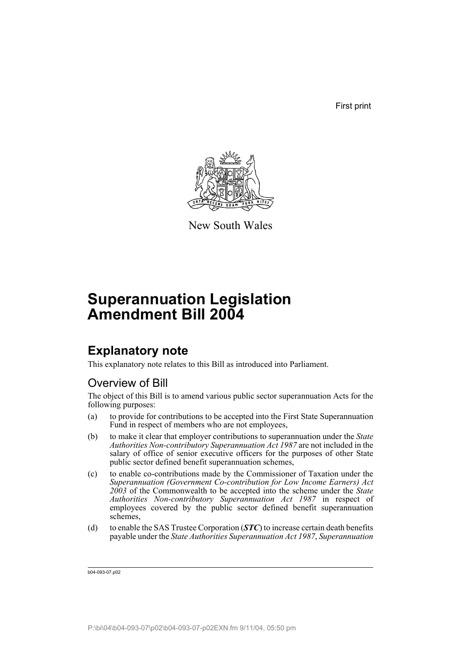First print



New South Wales

# **Superannuation Legislation Amendment Bill 2004**

## **Explanatory note**

This explanatory note relates to this Bill as introduced into Parliament.

## Overview of Bill

The object of this Bill is to amend various public sector superannuation Acts for the following purposes:

- (a) to provide for contributions to be accepted into the First State Superannuation Fund in respect of members who are not employees,
- (b) to make it clear that employer contributions to superannuation under the *State Authorities Non-contributory Superannuation Act 1987* are not included in the salary of office of senior executive officers for the purposes of other State public sector defined benefit superannuation schemes,
- (c) to enable co-contributions made by the Commissioner of Taxation under the *Superannuation (Government Co-contribution for Low Income Earners) Act 2003* of the Commonwealth to be accepted into the scheme under the *State Authorities Non-contributory Superannuation Act 1987* in respect of employees covered by the public sector defined benefit superannuation schemes,
- (d) to enable the SAS Trustee Corporation (*STC*) to increase certain death benefits payable under the *State Authorities Superannuation Act 1987*, *Superannuation*

b04-093-07.p02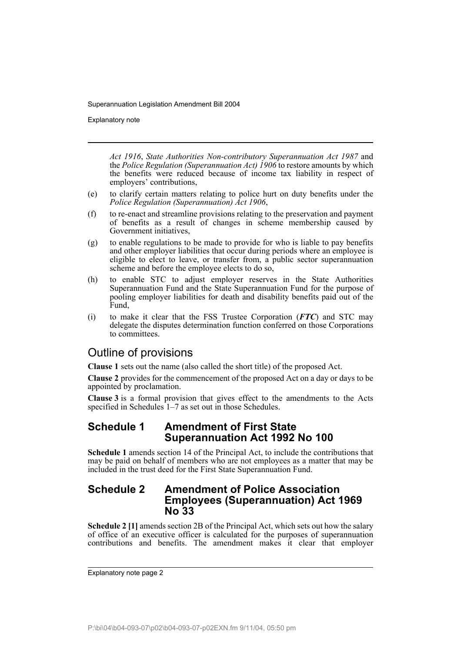Explanatory note

*Act 1916*, *State Authorities Non-contributory Superannuation Act 1987* and the *Police Regulation (Superannuation Act) 1906* to restore amounts by which the benefits were reduced because of income tax liability in respect of employers' contributions,

- (e) to clarify certain matters relating to police hurt on duty benefits under the *Police Regulation (Superannuation) Act 1906*,
- (f) to re-enact and streamline provisions relating to the preservation and payment of benefits as a result of changes in scheme membership caused by Government initiatives,
- (g) to enable regulations to be made to provide for who is liable to pay benefits and other employer liabilities that occur during periods where an employee is eligible to elect to leave, or transfer from, a public sector superannuation scheme and before the employee elects to do so,
- (h) to enable STC to adjust employer reserves in the State Authorities Superannuation Fund and the State Superannuation Fund for the purpose of pooling employer liabilities for death and disability benefits paid out of the Fund,
- (i) to make it clear that the FSS Trustee Corporation (*FTC*) and STC may delegate the disputes determination function conferred on those Corporations to committees.

## Outline of provisions

**Clause 1** sets out the name (also called the short title) of the proposed Act.

**Clause 2** provides for the commencement of the proposed Act on a day or days to be appointed by proclamation.

**Clause 3** is a formal provision that gives effect to the amendments to the Acts specified in Schedules 1–7 as set out in those Schedules.

## **Schedule 1 Amendment of First State Superannuation Act 1992 No 100**

**Schedule 1** amends section 14 of the Principal Act, to include the contributions that may be paid on behalf of members who are not employees as a matter that may be included in the trust deed for the First State Superannuation Fund.

## **Schedule 2 Amendment of Police Association Employees (Superannuation) Act 1969 No 33**

**Schedule 2 [1]** amends section 2B of the Principal Act, which sets out how the salary of office of an executive officer is calculated for the purposes of superannuation contributions and benefits. The amendment makes it clear that employer

Explanatory note page 2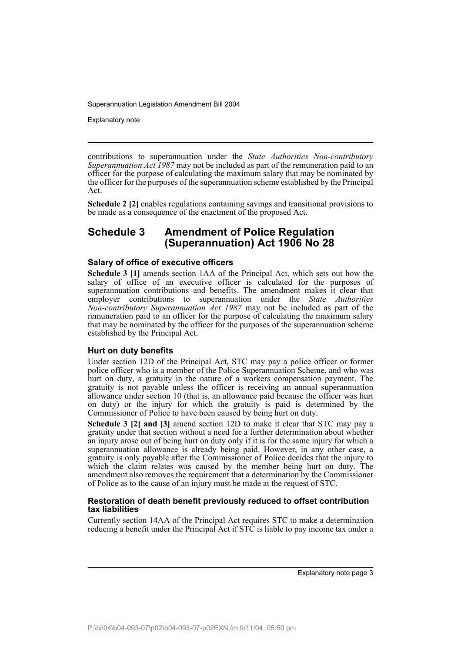Explanatory note

contributions to superannuation under the *State Authorities Non-contributory Superannuation Act 1987* may not be included as part of the remuneration paid to an officer for the purpose of calculating the maximum salary that may be nominated by the officer for the purposes of the superannuation scheme established by the Principal Act.

**Schedule 2 [2]** enables regulations containing savings and transitional provisions to be made as a consequence of the enactment of the proposed Act.

## **Schedule 3 Amendment of Police Regulation (Superannuation) Act 1906 No 28**

### **Salary of office of executive officers**

**Schedule 3 [1]** amends section 1AA of the Principal Act, which sets out how the salary of office of an executive officer is calculated for the purposes of superannuation contributions and benefits. The amendment makes it clear that employer contributions to superannuation under the *State Authorities Non-contributory Superannuation Act 1987* may not be included as part of the remuneration paid to an officer for the purpose of calculating the maximum salary that may be nominated by the officer for the purposes of the superannuation scheme established by the Principal Act.

### **Hurt on duty benefits**

Under section 12D of the Principal Act, STC may pay a police officer or former police officer who is a member of the Police Superannuation Scheme, and who was hurt on duty, a gratuity in the nature of a workers compensation payment. The gratuity is not payable unless the officer is receiving an annual superannuation allowance under section 10 (that is, an allowance paid because the officer was hurt on duty) or the injury for which the gratuity is paid is determined by the Commissioner of Police to have been caused by being hurt on duty.

**Schedule 3 [2] and [3]** amend section 12D to make it clear that STC may pay a gratuity under that section without a need for a further determination about whether an injury arose out of being hurt on duty only if it is for the same injury for which a superannuation allowance is already being paid. However, in any other case, a gratuity is only payable after the Commissioner of Police decides that the injury to which the claim relates was caused by the member being hurt on duty. The amendment also removes the requirement that a determination by the Commissioner of Police as to the cause of an injury must be made at the request of STC.

### **Restoration of death benefit previously reduced to offset contribution tax liabilities**

Currently section 14AA of the Principal Act requires STC to make a determination reducing a benefit under the Principal Act if STC is liable to pay income tax under a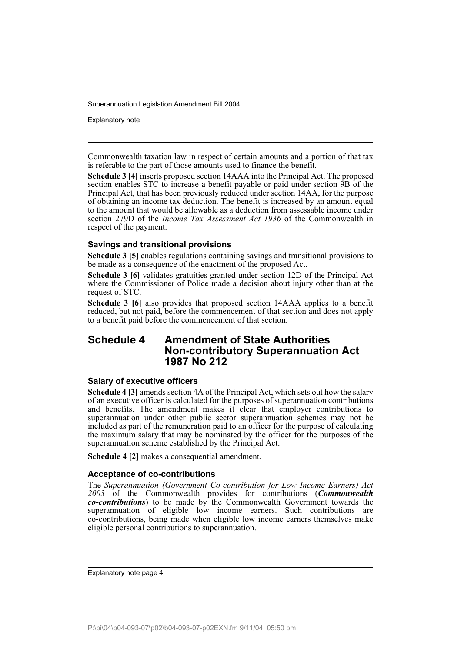Explanatory note

Commonwealth taxation law in respect of certain amounts and a portion of that tax is referable to the part of those amounts used to finance the benefit.

**Schedule 3 [4]** inserts proposed section 14AAA into the Principal Act. The proposed section enables STC to increase a benefit payable or paid under section 9B of the Principal Act, that has been previously reduced under section 14AA, for the purpose of obtaining an income tax deduction. The benefit is increased by an amount equal to the amount that would be allowable as a deduction from assessable income under section 279D of the *Income Tax Assessment Act 1936* of the Commonwealth in respect of the payment.

### **Savings and transitional provisions**

**Schedule 3 [5]** enables regulations containing savings and transitional provisions to be made as a consequence of the enactment of the proposed Act.

**Schedule 3 [6]** validates gratuities granted under section 12D of the Principal Act where the Commissioner of Police made a decision about injury other than at the request of STC.

**Schedule 3 [6]** also provides that proposed section 14AAA applies to a benefit reduced, but not paid, before the commencement of that section and does not apply to a benefit paid before the commencement of that section.

## **Schedule 4 Amendment of State Authorities Non-contributory Superannuation Act 1987 No 212**

### **Salary of executive officers**

**Schedule 4 [3]** amends section 4A of the Principal Act, which sets out how the salary of an executive officer is calculated for the purposes of superannuation contributions and benefits. The amendment makes it clear that employer contributions to superannuation under other public sector superannuation schemes may not be included as part of the remuneration paid to an officer for the purpose of calculating the maximum salary that may be nominated by the officer for the purposes of the superannuation scheme established by the Principal Act.

**Schedule 4 [2]** makes a consequential amendment.

### **Acceptance of co-contributions**

The *Superannuation (Government Co-contribution for Low Income Earners) Act 2003* of the Commonwealth provides for contributions (*Commonwealth co-contributions*) to be made by the Commonwealth Government towards the superannuation of eligible low income earners. Such contributions are co-contributions, being made when eligible low income earners themselves make eligible personal contributions to superannuation.

Explanatory note page 4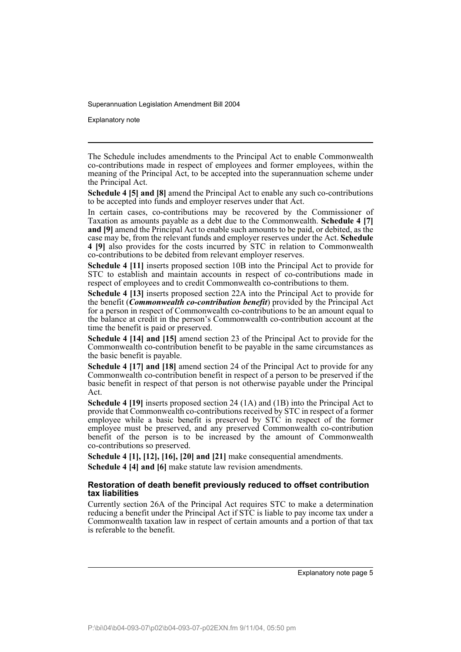Explanatory note

The Schedule includes amendments to the Principal Act to enable Commonwealth co-contributions made in respect of employees and former employees, within the meaning of the Principal Act, to be accepted into the superannuation scheme under the Principal Act.

**Schedule 4 [5] and [8]** amend the Principal Act to enable any such co-contributions to be accepted into funds and employer reserves under that Act.

In certain cases, co-contributions may be recovered by the Commissioner of Taxation as amounts payable as a debt due to the Commonwealth. **Schedule 4 [7] and [9]** amend the Principal Act to enable such amounts to be paid, or debited, as the case may be, from the relevant funds and employer reserves under the Act. **Schedule 4 [9]** also provides for the costs incurred by STC in relation to Commonwealth co-contributions to be debited from relevant employer reserves.

**Schedule 4 [11]** inserts proposed section 10B into the Principal Act to provide for STC to establish and maintain accounts in respect of co-contributions made in respect of employees and to credit Commonwealth co-contributions to them.

**Schedule 4 [13]** inserts proposed section 22A into the Principal Act to provide for the benefit (*Commonwealth co-contribution benefit*) provided by the Principal Act for a person in respect of Commonwealth co-contributions to be an amount equal to the balance at credit in the person's Commonwealth co-contribution account at the time the benefit is paid or preserved.

**Schedule 4 [14] and [15]** amend section 23 of the Principal Act to provide for the Commonwealth co-contribution benefit to be payable in the same circumstances as the basic benefit is payable.

**Schedule 4 [17] and [18]** amend section 24 of the Principal Act to provide for any Commonwealth co-contribution benefit in respect of a person to be preserved if the basic benefit in respect of that person is not otherwise payable under the Principal Act.

**Schedule 4 [19]** inserts proposed section 24 (1A) and (1B) into the Principal Act to provide that Commonwealth co-contributions received by STC in respect of a former employee while a basic benefit is preserved by STC in respect of the former employee must be preserved, and any preserved Commonwealth co-contribution benefit of the person is to be increased by the amount of Commonwealth co-contributions so preserved.

**Schedule 4 [1], [12], [16], [20] and [21]** make consequential amendments. **Schedule 4 [4] and [6]** make statute law revision amendments.

### **Restoration of death benefit previously reduced to offset contribution tax liabilities**

Currently section 26A of the Principal Act requires STC to make a determination reducing a benefit under the Principal Act if STC is liable to pay income tax under a Commonwealth taxation law in respect of certain amounts and a portion of that tax is referable to the benefit.

Explanatory note page 5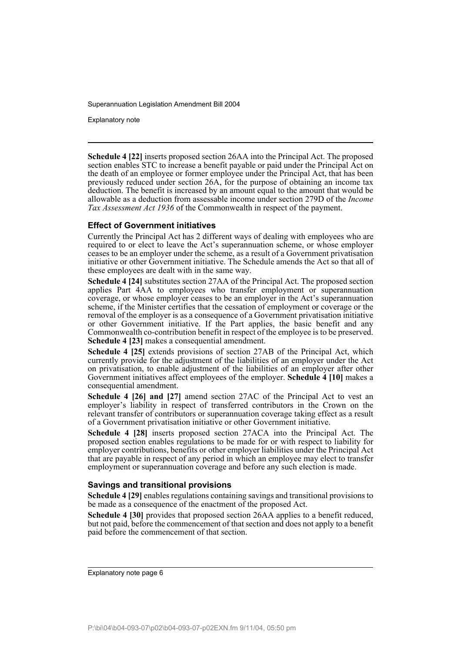Explanatory note

**Schedule 4 [22]** inserts proposed section 26AA into the Principal Act. The proposed section enables STC to increase a benefit payable or paid under the Principal Act on the death of an employee or former employee under the Principal Act, that has been previously reduced under section 26A, for the purpose of obtaining an income tax deduction. The benefit is increased by an amount equal to the amount that would be allowable as a deduction from assessable income under section 279D of the *Income Tax Assessment Act 1936* of the Commonwealth in respect of the payment.

### **Effect of Government initiatives**

Currently the Principal Act has 2 different ways of dealing with employees who are required to or elect to leave the Act's superannuation scheme, or whose employer ceases to be an employer under the scheme, as a result of a Government privatisation initiative or other Government initiative. The Schedule amends the Act so that all of these employees are dealt with in the same way.

**Schedule 4 [24]** substitutes section 27AA of the Principal Act. The proposed section applies Part 4AA to employees who transfer employment or superannuation coverage, or whose employer ceases to be an employer in the Act's superannuation scheme, if the Minister certifies that the cessation of employment or coverage or the removal of the employer is as a consequence of a Government privatisation initiative or other Government initiative. If the Part applies, the basic benefit and any Commonwealth co-contribution benefit in respect of the employee is to be preserved. **Schedule 4 [23]** makes a consequential amendment.

**Schedule 4 [25]** extends provisions of section 27AB of the Principal Act, which currently provide for the adjustment of the liabilities of an employer under the Act on privatisation, to enable adjustment of the liabilities of an employer after other Government initiatives affect employees of the employer. **Schedule 4 [10]** makes a consequential amendment.

**Schedule 4 [26] and [27]** amend section 27AC of the Principal Act to vest an employer's liability in respect of transferred contributors in the Crown on the relevant transfer of contributors or superannuation coverage taking effect as a result of a Government privatisation initiative or other Government initiative.

**Schedule 4 [28]** inserts proposed section 27ACA into the Principal Act. The proposed section enables regulations to be made for or with respect to liability for employer contributions, benefits or other employer liabilities under the Principal Act that are payable in respect of any period in which an employee may elect to transfer employment or superannuation coverage and before any such election is made.

### **Savings and transitional provisions**

**Schedule 4 [29]** enables regulations containing savings and transitional provisions to be made as a consequence of the enactment of the proposed Act.

**Schedule 4 [30]** provides that proposed section 26AA applies to a benefit reduced, but not paid, before the commencement of that section and does not apply to a benefit paid before the commencement of that section.

Explanatory note page 6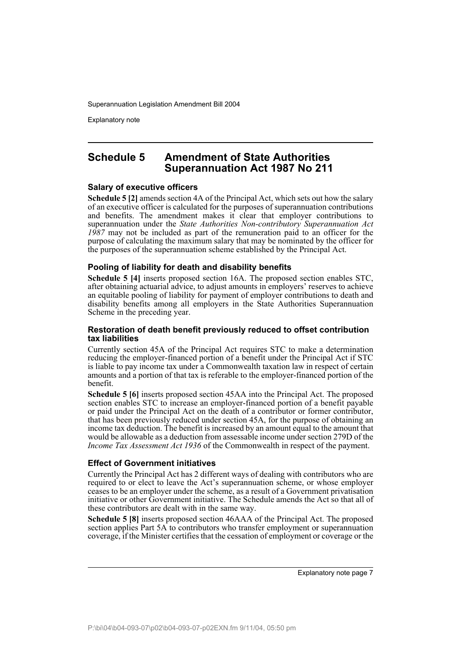Explanatory note

## **Schedule 5 Amendment of State Authorities Superannuation Act 1987 No 211**

### **Salary of executive officers**

**Schedule 5 [2]** amends section 4A of the Principal Act, which sets out how the salary of an executive officer is calculated for the purposes of superannuation contributions and benefits. The amendment makes it clear that employer contributions to superannuation under the *State Authorities Non-contributory Superannuation Act 1987* may not be included as part of the remuneration paid to an officer for the purpose of calculating the maximum salary that may be nominated by the officer for the purposes of the superannuation scheme established by the Principal Act.

### **Pooling of liability for death and disability benefits**

**Schedule 5 [4]** inserts proposed section 16A. The proposed section enables STC, after obtaining actuarial advice, to adjust amounts in employers' reserves to achieve an equitable pooling of liability for payment of employer contributions to death and disability benefits among all employers in the State Authorities Superannuation Scheme in the preceding year.

### **Restoration of death benefit previously reduced to offset contribution tax liabilities**

Currently section 45A of the Principal Act requires STC to make a determination reducing the employer-financed portion of a benefit under the Principal Act if STC is liable to pay income tax under a Commonwealth taxation law in respect of certain amounts and a portion of that tax is referable to the employer-financed portion of the benefit.

**Schedule 5 [6]** inserts proposed section 45AA into the Principal Act. The proposed section enables STC to increase an employer-financed portion of a benefit payable or paid under the Principal Act on the death of a contributor or former contributor, that has been previously reduced under section 45A, for the purpose of obtaining an income tax deduction. The benefit is increased by an amount equal to the amount that would be allowable as a deduction from assessable income under section 279D of the *Income Tax Assessment Act 1936* of the Commonwealth in respect of the payment.

### **Effect of Government initiatives**

Currently the Principal Act has 2 different ways of dealing with contributors who are required to or elect to leave the Act's superannuation scheme, or whose employer ceases to be an employer under the scheme, as a result of a Government privatisation initiative or other  $\ddot{G}$  overnment initiative. The Schedule amends the Act so that all of these contributors are dealt with in the same way.

**Schedule 5 [8]** inserts proposed section 46AAA of the Principal Act. The proposed section applies Part 5A to contributors who transfer employment or superannuation coverage, if the Minister certifies that the cessation of employment or coverage or the

Explanatory note page 7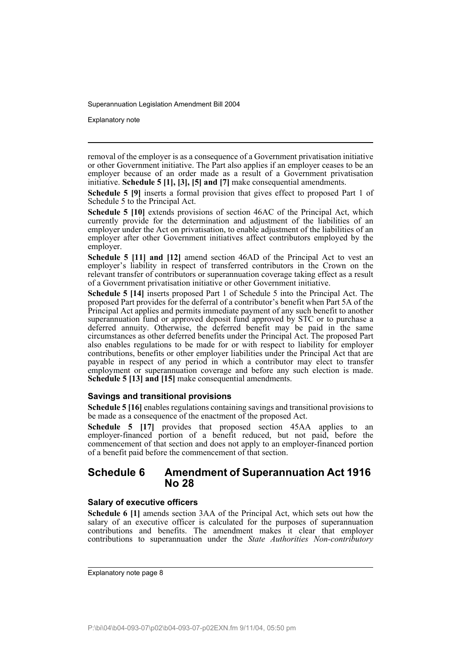Explanatory note

removal of the employer is as a consequence of a Government privatisation initiative or other Government initiative. The Part also applies if an employer ceases to be an employer because of an order made as a result of a Government privatisation initiative. **Schedule 5 [1], [3], [5] and [7]** make consequential amendments.

**Schedule 5 [9]** inserts a formal provision that gives effect to proposed Part 1 of Schedule 5 to the Principal Act.

**Schedule 5 [10]** extends provisions of section 46AC of the Principal Act, which currently provide for the determination and adjustment of the liabilities of an employer under the Act on privatisation, to enable adjustment of the liabilities of an employer after other Government initiatives affect contributors employed by the employer.

**Schedule 5 [11] and [12]** amend section 46AD of the Principal Act to vest an employer's liability in respect of transferred contributors in the Crown on the relevant transfer of contributors or superannuation coverage taking effect as a result of a Government privatisation initiative or other Government initiative.

**Schedule 5 [14]** inserts proposed Part 1 of Schedule 5 into the Principal Act. The proposed Part provides for the deferral of a contributor's benefit when Part 5A of the Principal Act applies and permits immediate payment of any such benefit to another superannuation fund or approved deposit fund approved by STC or to purchase a deferred annuity. Otherwise, the deferred benefit may be paid in the same circumstances as other deferred benefits under the Principal Act. The proposed Part also enables regulations to be made for or with respect to liability for employer contributions, benefits or other employer liabilities under the Principal Act that are payable in respect of any period in which a contributor may elect to transfer employment or superannuation coverage and before any such election is made. **Schedule 5 [13] and [15]** make consequential amendments.

### **Savings and transitional provisions**

**Schedule 5 [16]** enables regulations containing savings and transitional provisions to be made as a consequence of the enactment of the proposed Act.

**Schedule 5 [17]** provides that proposed section 45AA applies to an employer-financed portion of a benefit reduced, but not paid, before the commencement of that section and does not apply to an employer-financed portion of a benefit paid before the commencement of that section.

### **Schedule 6 Amendment of Superannuation Act 1916 No 28**

### **Salary of executive officers**

**Schedule 6 [1]** amends section 3AA of the Principal Act, which sets out how the salary of an executive officer is calculated for the purposes of superannuation contributions and benefits. The amendment makes it clear that employer contributions to superannuation under the *State Authorities Non-contributory*

Explanatory note page 8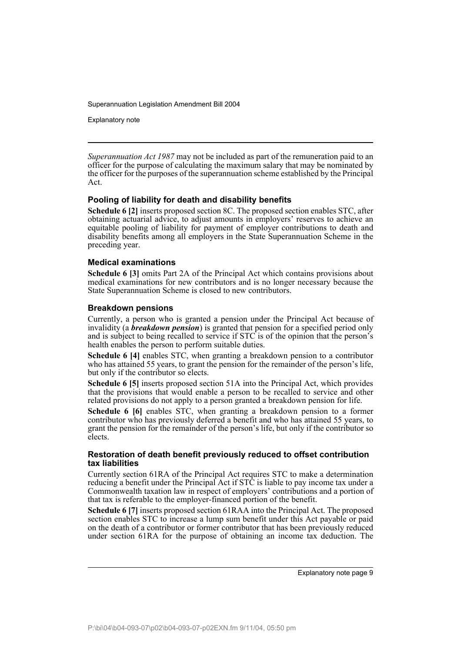Explanatory note

*Superannuation Act 1987* may not be included as part of the remuneration paid to an officer for the purpose of calculating the maximum salary that may be nominated by the officer for the purposes of the superannuation scheme established by the Principal Act.

### **Pooling of liability for death and disability benefits**

**Schedule 6 [2]** inserts proposed section 8C. The proposed section enables STC, after obtaining actuarial advice, to adjust amounts in employers' reserves to achieve an equitable pooling of liability for payment of employer contributions to death and disability benefits among all employers in the State Superannuation Scheme in the preceding year.

### **Medical examinations**

**Schedule 6 [3]** omits Part 2A of the Principal Act which contains provisions about medical examinations for new contributors and is no longer necessary because the State Superannuation Scheme is closed to new contributors.

### **Breakdown pensions**

Currently, a person who is granted a pension under the Principal Act because of invalidity (a *breakdown pension*) is granted that pension for a specified period only and is subject to being recalled to service if STC is of the opinion that the person's health enables the person to perform suitable duties.

**Schedule 6 [4]** enables STC, when granting a breakdown pension to a contributor who has attained 55 years, to grant the pension for the remainder of the person's life, but only if the contributor so elects.

**Schedule 6 [5]** inserts proposed section 51A into the Principal Act, which provides that the provisions that would enable a person to be recalled to service and other related provisions do not apply to a person granted a breakdown pension for life.

**Schedule 6 [6]** enables STC, when granting a breakdown pension to a former contributor who has previously deferred a benefit and who has attained 55 years, to grant the pension for the remainder of the person's life, but only if the contributor so elects.

### **Restoration of death benefit previously reduced to offset contribution tax liabilities**

Currently section 61RA of the Principal Act requires STC to make a determination reducing a benefit under the Principal Act if STC is liable to pay income tax under a Commonwealth taxation law in respect of employers' contributions and a portion of that tax is referable to the employer-financed portion of the benefit.

**Schedule 6 [7]** inserts proposed section 61RAA into the Principal Act. The proposed section enables STC to increase a lump sum benefit under this Act payable or paid on the death of a contributor or former contributor that has been previously reduced under section 61RA for the purpose of obtaining an income tax deduction. The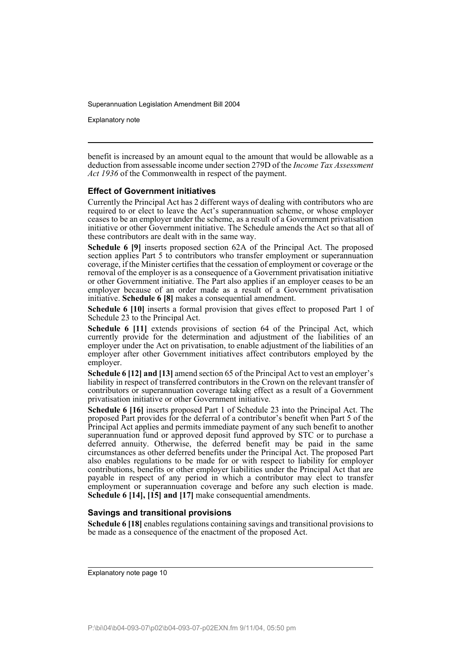Explanatory note

benefit is increased by an amount equal to the amount that would be allowable as a deduction from assessable income under section 279D of the *Income Tax Assessment Act 1936* of the Commonwealth in respect of the payment.

### **Effect of Government initiatives**

Currently the Principal Act has 2 different ways of dealing with contributors who are required to or elect to leave the Act's superannuation scheme, or whose employer ceases to be an employer under the scheme, as a result of a Government privatisation initiative or other Government initiative. The Schedule amends the Act so that all of these contributors are dealt with in the same way.

**Schedule 6 [9]** inserts proposed section 62A of the Principal Act. The proposed section applies Part 5 to contributors who transfer employment or superannuation coverage, if the Minister certifies that the cessation of employment or coverage or the removal of the employer is as a consequence of a Government privatisation initiative or other Government initiative. The Part also applies if an employer ceases to be an employer because of an order made as a result of a Government privatisation initiative. **Schedule 6 [8]** makes a consequential amendment.

**Schedule 6 [10]** inserts a formal provision that gives effect to proposed Part 1 of Schedule 23 to the Principal Act.

**Schedule 6 [11]** extends provisions of section 64 of the Principal Act, which currently provide for the determination and adjustment of the liabilities of an employer under the Act on privatisation, to enable adjustment of the liabilities of an employer after other Government initiatives affect contributors employed by the employer.

**Schedule 6 [12] and [13]** amend section 65 of the Principal Act to vest an employer's liability in respect of transferred contributors in the Crown on the relevant transfer of contributors or superannuation coverage taking effect as a result of a Government privatisation initiative or other Government initiative.

**Schedule 6 [16]** inserts proposed Part 1 of Schedule 23 into the Principal Act. The proposed Part provides for the deferral of a contributor's benefit when Part 5 of the Principal Act applies and permits immediate payment of any such benefit to another superannuation fund or approved deposit fund approved by STC or to purchase a deferred annuity. Otherwise, the deferred benefit may be paid in the same circumstances as other deferred benefits under the Principal Act. The proposed Part also enables regulations to be made for or with respect to liability for employer contributions, benefits or other employer liabilities under the Principal Act that are payable in respect of any period in which a contributor may elect to transfer employment or superannuation coverage and before any such election is made. **Schedule 6 [14], [15] and [17]** make consequential amendments.

### **Savings and transitional provisions**

**Schedule 6 [18]** enables regulations containing savings and transitional provisions to be made as a consequence of the enactment of the proposed Act.

Explanatory note page 10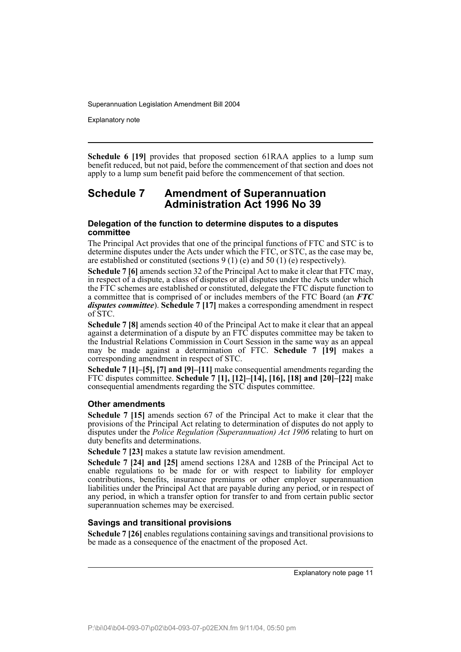Explanatory note

**Schedule 6 [19]** provides that proposed section 61RAA applies to a lump sum benefit reduced, but not paid, before the commencement of that section and does not apply to a lump sum benefit paid before the commencement of that section.

## **Schedule 7 Amendment of Superannuation Administration Act 1996 No 39**

### **Delegation of the function to determine disputes to a disputes committee**

The Principal Act provides that one of the principal functions of FTC and STC is to determine disputes under the Acts under which the FTC, or STC, as the case may be, are established or constituted (sections  $9(1)$  (e) and  $50(1)$  (e) respectively).

**Schedule 7 [6]** amends section 32 of the Principal Act to make it clear that FTC may, in respect of a dispute, a class of disputes or all disputes under the Acts under which the FTC schemes are established or constituted, delegate the FTC dispute function to a committee that is comprised of or includes members of the FTC Board (an *FTC disputes committee*). **Schedule 7 [17]** makes a corresponding amendment in respect of STC.

**Schedule 7 [8]** amends section 40 of the Principal Act to make it clear that an appeal against a determination of a dispute by an FTC disputes committee may be taken to the Industrial Relations Commission in Court Session in the same way as an appeal may be made against a determination of FTC. **Schedule 7 [19]** makes a corresponding amendment in respect of STC.

**Schedule 7 [1]–[5], [7] and [9]–[11]** make consequential amendments regarding the FTC disputes committee. **Schedule 7 [1], [12]–[14], [16], [18] and [20]–[22]** make consequential amendments regarding the STC disputes committee.

### **Other amendments**

**Schedule 7 [15]** amends section 67 of the Principal Act to make it clear that the provisions of the Principal Act relating to determination of disputes do not apply to disputes under the *Police Regulation (Superannuation) Act 1906* relating to hurt on duty benefits and determinations.

**Schedule 7 [23]** makes a statute law revision amendment.

**Schedule 7 [24] and [25]** amend sections 128A and 128B of the Principal Act to enable regulations to be made for or with respect to liability for employer contributions, benefits, insurance premiums or other employer superannuation liabilities under the Principal Act that are payable during any period, or in respect of any period, in which a transfer option for transfer to and from certain public sector superannuation schemes may be exercised.

### **Savings and transitional provisions**

**Schedule 7 [26]** enables regulations containing savings and transitional provisions to be made as a consequence of the enactment of the proposed Act.

Explanatory note page 11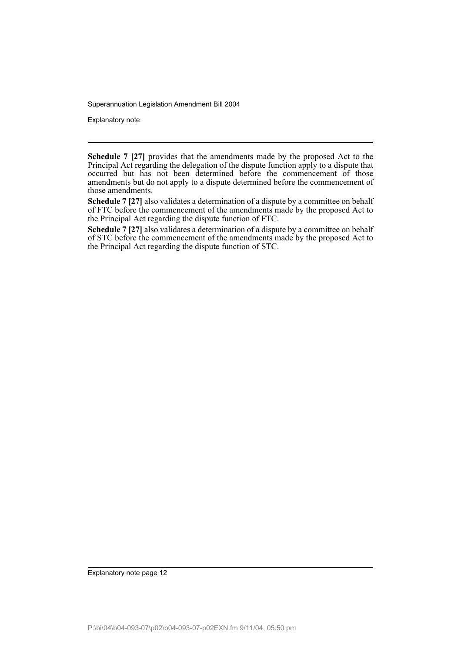Explanatory note

**Schedule 7 [27]** provides that the amendments made by the proposed Act to the Principal Act regarding the delegation of the dispute function apply to a dispute that occurred but has not been determined before the commencement of those amendments but do not apply to a dispute determined before the commencement of those amendments.

**Schedule 7 [27]** also validates a determination of a dispute by a committee on behalf of FTC before the commencement of the amendments made by the proposed Act to the Principal Act regarding the dispute function of FTC.

**Schedule 7 [27]** also validates a determination of a dispute by a committee on behalf of STC before the commencement of the amendments made by the proposed Act to the Principal Act regarding the dispute function of STC.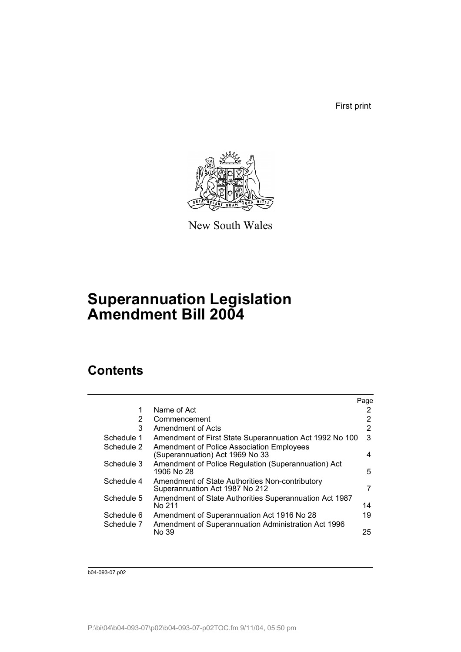First print



New South Wales

# **Superannuation Legislation Amendment Bill 2004**

# **Contents**

|            |                                                                                     | Page |
|------------|-------------------------------------------------------------------------------------|------|
| 1          | Name of Act                                                                         | 2    |
| 2          | Commencement                                                                        | 2    |
| 3          | Amendment of Acts                                                                   | 2    |
| Schedule 1 | Amendment of First State Superannuation Act 1992 No 100                             | 3    |
| Schedule 2 | <b>Amendment of Police Association Employees</b><br>(Superannuation) Act 1969 No 33 | 4    |
| Schedule 3 | Amendment of Police Regulation (Superannuation) Act<br>1906 No 28                   | 5    |
| Schedule 4 | Amendment of State Authorities Non-contributory<br>Superannuation Act 1987 No 212   | 7    |
| Schedule 5 | Amendment of State Authorities Superannuation Act 1987<br>No 211                    | 14   |
| Schedule 6 | Amendment of Superannuation Act 1916 No 28                                          | 19   |
| Schedule 7 | Amendment of Superannuation Administration Act 1996<br>No 39                        | 25   |

b04-093-07.p02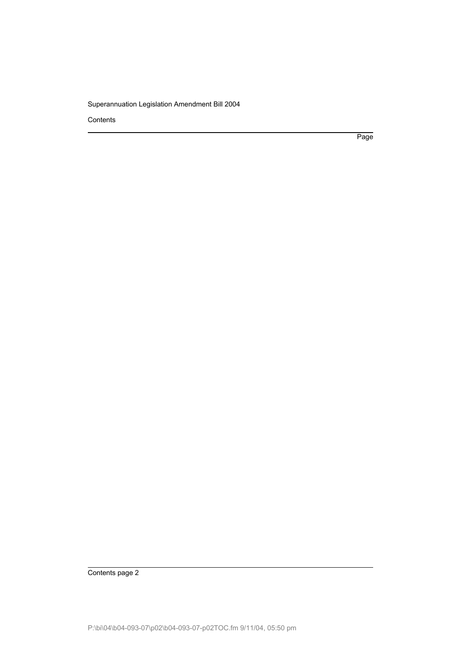**Contents** 

Page

Contents page 2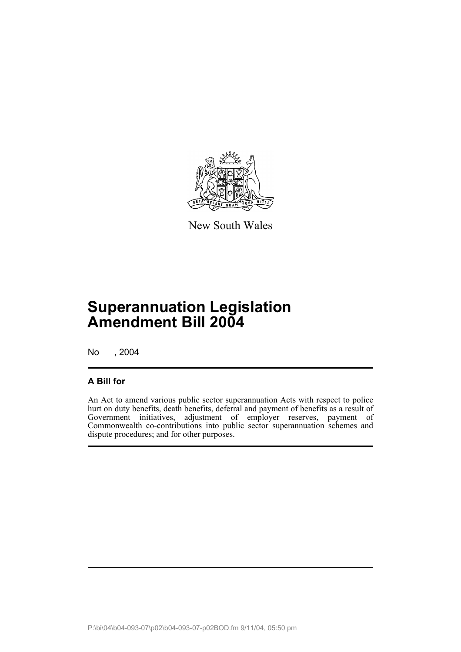

New South Wales

# **Superannuation Legislation Amendment Bill 2004**

No , 2004

## **A Bill for**

An Act to amend various public sector superannuation Acts with respect to police hurt on duty benefits, death benefits, deferral and payment of benefits as a result of Government initiatives, adjustment of employer reserves, payment of Commonwealth co-contributions into public sector superannuation schemes and dispute procedures; and for other purposes.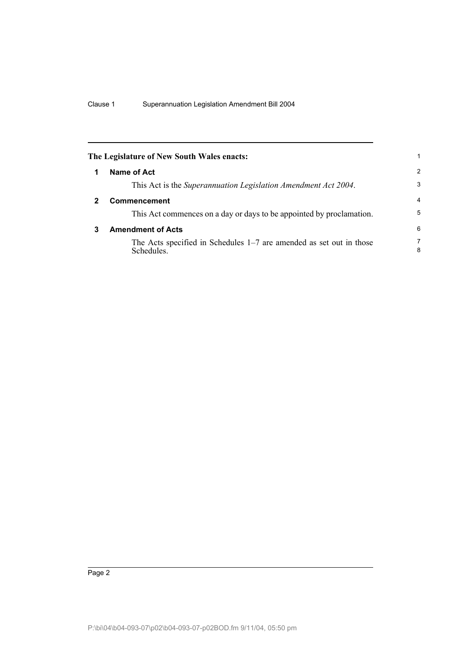| The Legislature of New South Wales enacts:<br>Name of Act<br>This Act is the Superannuation Legislation Amendment Act 2004.<br><b>Commencement</b><br>This Act commences on a day or days to be appointed by proclamation.<br><b>Amendment of Acts</b><br>3<br>The Acts specified in Schedules 1–7 are amended as set out in those<br>Schedules |  |        |
|-------------------------------------------------------------------------------------------------------------------------------------------------------------------------------------------------------------------------------------------------------------------------------------------------------------------------------------------------|--|--------|
|                                                                                                                                                                                                                                                                                                                                                 |  | 1      |
|                                                                                                                                                                                                                                                                                                                                                 |  | 2      |
|                                                                                                                                                                                                                                                                                                                                                 |  | 3      |
|                                                                                                                                                                                                                                                                                                                                                 |  | 4      |
|                                                                                                                                                                                                                                                                                                                                                 |  | 5      |
|                                                                                                                                                                                                                                                                                                                                                 |  | 6      |
|                                                                                                                                                                                                                                                                                                                                                 |  | 7<br>8 |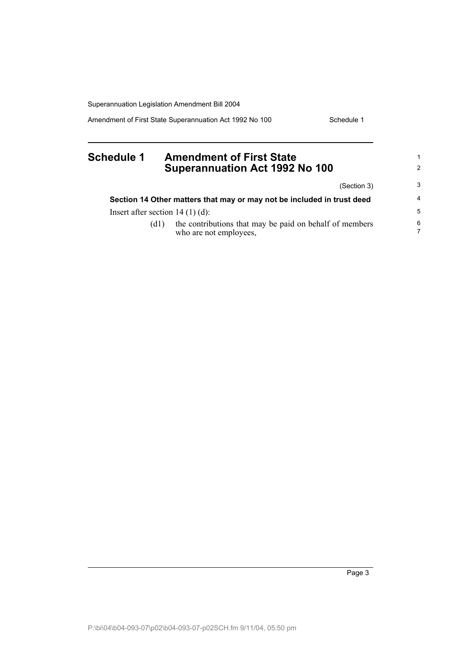Amendment of First State Superannuation Act 1992 No 100 Schedule 1

#### **Schedule 1 Amendment of First State Superannuation Act 1992 No 100** (Section 3) **Section 14 Other matters that may or may not be included in trust deed** Insert after section 14 (1) (d): (d1) the contributions that may be paid on behalf of members who are not employees, 1  $\overline{2}$ 3 4 5 6 7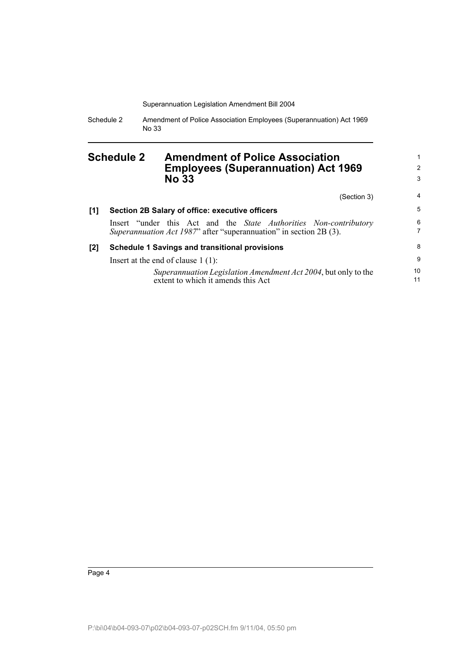Schedule 2 Amendment of Police Association Employees (Superannuation) Act 1969 No 33

## **Schedule 2 Amendment of Police Association Employees (Superannuation) Act 1969 No 33**

extent to which it amends this Act

(Section 3)

1  $\overline{2}$ 3

4

11

#### **[1] Section 2B Salary of office: executive officers**  Insert "under this Act and the *State Authorities Non-contributory Superannuation Act 1987*" after "superannuation" in section 2B (3). **[2] Schedule 1 Savings and transitional provisions** Insert at the end of clause 1 (1): *Superannuation Legislation Amendment Act 2004*, but only to the 5 6 7 8 9 10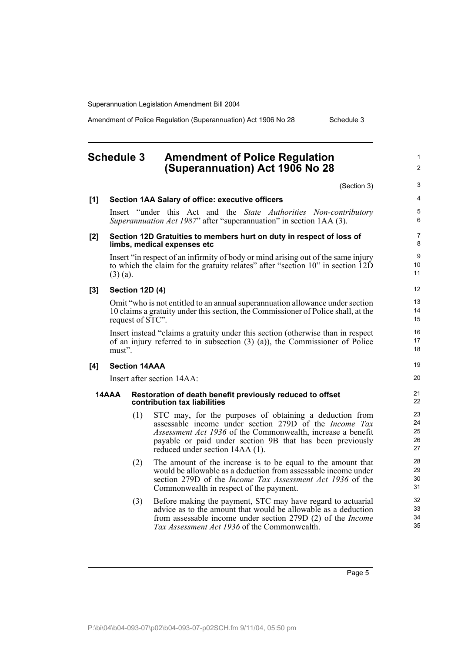Amendment of Police Regulation (Superannuation) Act 1906 No 28 Schedule 3

## **Schedule 3 Amendment of Police Regulation (Superannuation) Act 1906 No 28**

(Section 3)

1  $\overline{2}$ 

## **[1] Section 1AA Salary of office: executive officers**

Insert "under this Act and the *State Authorities Non-contributory Superannuation Act 1987*" after "superannuation" in section 1AA (3).

### **[2] Section 12D Gratuities to members hurt on duty in respect of loss of limbs, medical expenses etc**

Insert "in respect of an infirmity of body or mind arising out of the same injury to which the claim for the gratuity relates" after "section 10" in section 12D (3) (a).

### **[3] Section 12D (4)**

Omit "who is not entitled to an annual superannuation allowance under section 10 claims a gratuity under this section, the Commissioner of Police shall, at the request of STC".

Insert instead "claims a gratuity under this section (otherwise than in respect of an injury referred to in subsection (3) (a)), the Commissioner of Police must".

### **[4] Section 14AAA**

Insert after section 14AA:

### **14AAA Restoration of death benefit previously reduced to offset contribution tax liabilities**

- (1) STC may, for the purposes of obtaining a deduction from assessable income under section 279D of the *Income Tax Assessment Act 1936* of the Commonwealth, increase a benefit payable or paid under section 9B that has been previously reduced under section 14AA (1).
- (2) The amount of the increase is to be equal to the amount that would be allowable as a deduction from assessable income under section 279D of the *Income Tax Assessment Act 1936* of the Commonwealth in respect of the payment.
- (3) Before making the payment, STC may have regard to actuarial advice as to the amount that would be allowable as a deduction from assessable income under section 279D (2) of the *Income Tax Assessment Act 1936* of the Commonwealth.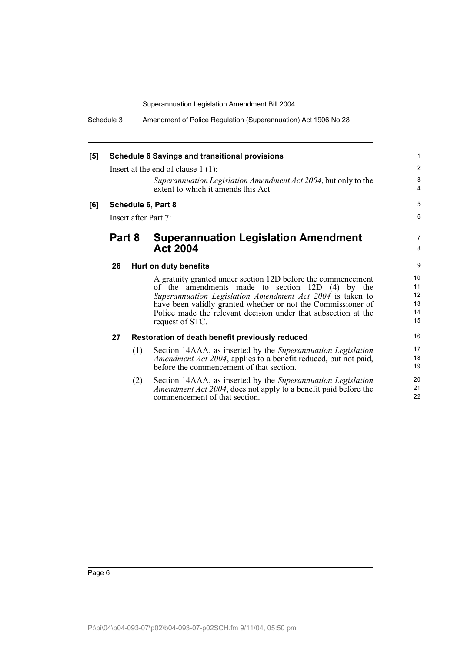Schedule 3 Amendment of Police Regulation (Superannuation) Act 1906 No 28

|    |     |                                                                                                                                                                                                                                                                                                                                    | $\mathbf{1}$                                                                                                                                                                                                                               |
|----|-----|------------------------------------------------------------------------------------------------------------------------------------------------------------------------------------------------------------------------------------------------------------------------------------------------------------------------------------|--------------------------------------------------------------------------------------------------------------------------------------------------------------------------------------------------------------------------------------------|
|    |     |                                                                                                                                                                                                                                                                                                                                    | $\overline{2}$                                                                                                                                                                                                                             |
|    |     | Superannuation Legislation Amendment Act 2004, but only to the<br>extent to which it amends this Act                                                                                                                                                                                                                               | 3<br>$\overline{4}$                                                                                                                                                                                                                        |
|    |     |                                                                                                                                                                                                                                                                                                                                    | 5                                                                                                                                                                                                                                          |
|    |     |                                                                                                                                                                                                                                                                                                                                    | 6                                                                                                                                                                                                                                          |
|    |     | <b>Superannuation Legislation Amendment</b>                                                                                                                                                                                                                                                                                        | $\overline{7}$<br>8                                                                                                                                                                                                                        |
|    |     |                                                                                                                                                                                                                                                                                                                                    |                                                                                                                                                                                                                                            |
| 26 |     |                                                                                                                                                                                                                                                                                                                                    | 9                                                                                                                                                                                                                                          |
|    |     | A gratuity granted under section 12D before the commencement<br>of the amendments made to section 12D (4) by the<br>Superannuation Legislation Amendment Act 2004 is taken to<br>have been validly granted whether or not the Commissioner of<br>Police made the relevant decision under that subsection at the<br>request of STC. | 10<br>11<br>12<br>13<br>14<br>15                                                                                                                                                                                                           |
| 27 |     |                                                                                                                                                                                                                                                                                                                                    | 16                                                                                                                                                                                                                                         |
|    | (1) | Section 14AAA, as inserted by the Superannuation Legislation<br>Amendment Act 2004, applies to a benefit reduced, but not paid,<br>before the commencement of that section.                                                                                                                                                        | 17<br>18<br>19                                                                                                                                                                                                                             |
|    | (2) | Section 14AAA, as inserted by the Superannuation Legislation<br>Amendment Act 2004, does not apply to a benefit paid before the<br>commencement of that section.                                                                                                                                                                   | 20<br>21<br>22                                                                                                                                                                                                                             |
|    |     | Part 8                                                                                                                                                                                                                                                                                                                             | <b>Schedule 6 Savings and transitional provisions</b><br>Insert at the end of clause $1(1)$ :<br>Schedule 6, Part 8<br>Insert after Part 7:<br><b>Act 2004</b><br>Hurt on duty benefits<br>Restoration of death benefit previously reduced |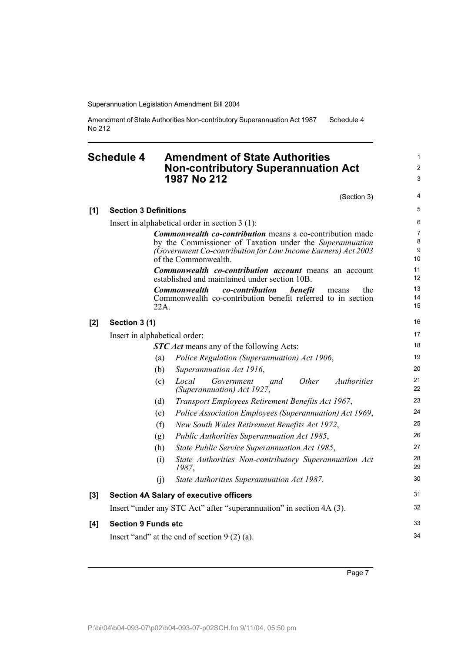Amendment of State Authorities Non-contributory Superannuation Act 1987 No 212 Schedule 4

## **Schedule 4 Amendment of State Authorities Non-contributory Superannuation Act 1987 No 212**

(Section 3)

1  $\overline{2}$ 3

4

| [1] | <b>Section 3 Definitions</b>                                                                                                                                                                                         | $\overline{5}$                 |
|-----|----------------------------------------------------------------------------------------------------------------------------------------------------------------------------------------------------------------------|--------------------------------|
|     | Insert in alphabetical order in section $3(1)$ :                                                                                                                                                                     | $\,6\,$                        |
|     | <b>Commonwealth co-contribution</b> means a co-contribution made<br>by the Commissioner of Taxation under the Superannuation<br>(Government Co-contribution for Low Income Earners) Act 2003<br>of the Commonwealth. | $\overline{7}$<br>8<br>9<br>10 |
|     | <b>Commonwealth co-contribution account</b> means an account<br>established and maintained under section 10B.                                                                                                        | 11<br>12                       |
|     | <b>Commonwealth</b><br>co-contribution<br><i>benefit</i><br>means<br>Commonwealth co-contribution benefit referred to in section<br>22A.                                                                             | 13<br>the<br>14<br>15          |
| [2] | Section 3 (1)                                                                                                                                                                                                        | 16                             |
|     | Insert in alphabetical order:                                                                                                                                                                                        | 17                             |
|     | <b>STC</b> Act means any of the following Acts:                                                                                                                                                                      | 18                             |
|     | Police Regulation (Superannuation) Act 1906,<br>(a)                                                                                                                                                                  | 19                             |
|     | (b)<br>Superannuation Act 1916,                                                                                                                                                                                      | 20                             |
|     | Other<br>(c)<br>Government<br>and<br>Local<br>(Superannuation) Act 1927,                                                                                                                                             | 21<br>Authorities<br>22        |
|     | Transport Employees Retirement Benefits Act 1967,<br>(d)                                                                                                                                                             | 23                             |
|     | Police Association Employees (Superannuation) Act 1969,<br>(e)                                                                                                                                                       | 24                             |
|     | (f)<br>New South Wales Retirement Benefits Act 1972,                                                                                                                                                                 | 25                             |
|     | Public Authorities Superannuation Act 1985,<br>(g)                                                                                                                                                                   | 26                             |
|     | (h)<br>State Public Service Superannuation Act 1985,                                                                                                                                                                 | 27                             |
|     | (i)<br>State Authorities Non-contributory Superannuation Act<br>1987,                                                                                                                                                | 28<br>29                       |
|     | State Authorities Superannuation Act 1987.<br>(i)                                                                                                                                                                    | 30                             |
| [3] | <b>Section 4A Salary of executive officers</b>                                                                                                                                                                       | 31                             |
|     | Insert "under any STC Act" after "superannuation" in section 4A (3).                                                                                                                                                 | 32                             |
| [4] | <b>Section 9 Funds etc</b>                                                                                                                                                                                           | 33                             |
|     | Insert "and" at the end of section $9(2)(a)$ .                                                                                                                                                                       | 34                             |
|     |                                                                                                                                                                                                                      |                                |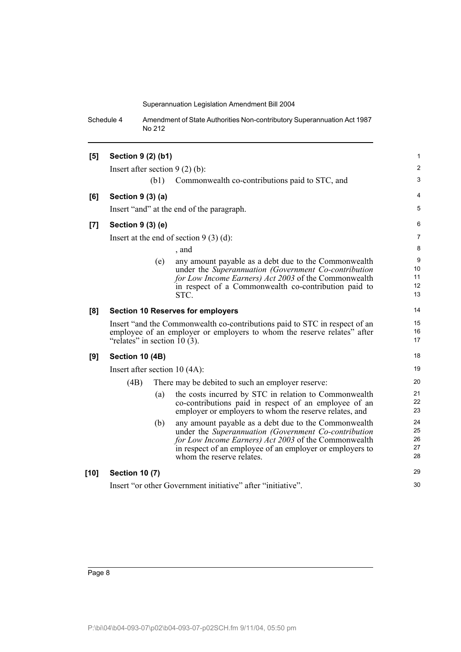Schedule 4 Amendment of State Authorities Non-contributory Superannuation Act 1987 No 212

| [5]   | Section 9 (2) (b1)               |      |                                                                                                                                                                                                                                                               | $\mathbf{1}$               |
|-------|----------------------------------|------|---------------------------------------------------------------------------------------------------------------------------------------------------------------------------------------------------------------------------------------------------------------|----------------------------|
|       | Insert after section $9(2)(b)$ : |      |                                                                                                                                                                                                                                                               | $\overline{2}$             |
|       |                                  | (b1) | Commonwealth co-contributions paid to STC, and                                                                                                                                                                                                                | 3                          |
| [6]   | Section 9 (3) (a)                |      |                                                                                                                                                                                                                                                               | $\overline{4}$             |
|       |                                  |      | Insert "and" at the end of the paragraph.                                                                                                                                                                                                                     | 5                          |
| $[7]$ | Section 9 (3) (e)                |      |                                                                                                                                                                                                                                                               | 6                          |
|       |                                  |      | Insert at the end of section $9(3)(d)$ :                                                                                                                                                                                                                      | 7                          |
|       |                                  |      | , and                                                                                                                                                                                                                                                         | 8                          |
|       |                                  | (e)  | any amount payable as a debt due to the Commonwealth<br>under the Superannuation (Government Co-contribution<br>for Low Income Earners) Act 2003 of the Commonwealth<br>in respect of a Commonwealth co-contribution paid to<br>STC.                          | 9<br>10<br>11<br>12<br>13  |
| [8]   |                                  |      | <b>Section 10 Reserves for employers</b>                                                                                                                                                                                                                      | 14                         |
|       | "relates" in section $10(3)$ .   |      | Insert "and the Commonwealth co-contributions paid to STC in respect of an<br>employee of an employer or employers to whom the reserve relates" after                                                                                                         | 15<br>16<br>17             |
| [9]   | Section 10 (4B)                  |      |                                                                                                                                                                                                                                                               | 18                         |
|       | Insert after section $10(4A)$ :  |      |                                                                                                                                                                                                                                                               | 19                         |
|       | (4B)                             |      | There may be debited to such an employer reserve:                                                                                                                                                                                                             | 20                         |
|       |                                  | (a)  | the costs incurred by STC in relation to Commonwealth<br>co-contributions paid in respect of an employee of an<br>employer or employers to whom the reserve relates, and                                                                                      | 21<br>22<br>23             |
|       |                                  | (b)  | any amount payable as a debt due to the Commonwealth<br>under the Superannuation (Government Co-contribution<br>for Low Income Earners) Act 2003 of the Commonwealth<br>in respect of an employee of an employer or employers to<br>whom the reserve relates. | 24<br>25<br>26<br>27<br>28 |
| [10]  | <b>Section 10 (7)</b>            |      |                                                                                                                                                                                                                                                               | 29                         |
|       |                                  |      | Insert "or other Government initiative" after "initiative".                                                                                                                                                                                                   | 30                         |
|       |                                  |      |                                                                                                                                                                                                                                                               |                            |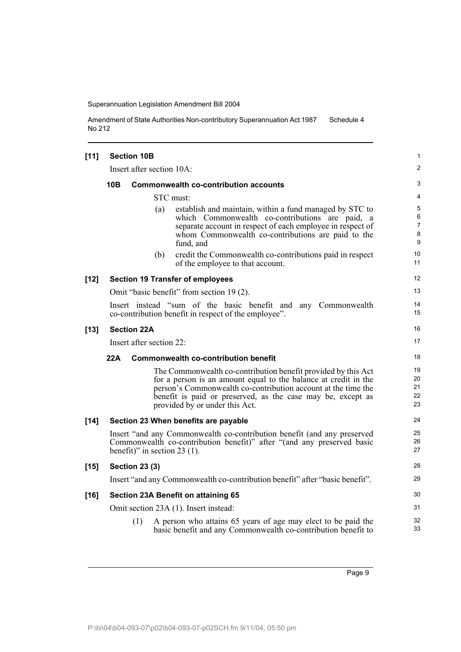Amendment of State Authorities Non-contributory Superannuation Act 1987 No 212 Schedule 4

| $[11]$ | <b>Section 10B</b>                                                                                                                                                                                                                                                                                 | 1                          |
|--------|----------------------------------------------------------------------------------------------------------------------------------------------------------------------------------------------------------------------------------------------------------------------------------------------------|----------------------------|
|        | Insert after section 10A:                                                                                                                                                                                                                                                                          | $\overline{c}$             |
|        | 10B<br><b>Commonwealth co-contribution accounts</b>                                                                                                                                                                                                                                                | 3                          |
|        | STC must:                                                                                                                                                                                                                                                                                          | 4                          |
|        | establish and maintain, within a fund managed by STC to<br>(a)<br>which Commonwealth co-contributions are paid, a<br>separate account in respect of each employee in respect of<br>whom Commonwealth co-contributions are paid to the<br>fund, and                                                 | 5<br>6<br>7<br>8<br>9      |
|        | (b)<br>credit the Commonwealth co-contributions paid in respect<br>of the employee to that account.                                                                                                                                                                                                | 10<br>11                   |
| $[12]$ | <b>Section 19 Transfer of employees</b>                                                                                                                                                                                                                                                            | 12                         |
|        | Omit "basic benefit" from section 19(2).                                                                                                                                                                                                                                                           | 13                         |
|        | Insert instead "sum of the basic benefit and any Commonwealth<br>co-contribution benefit in respect of the employee".                                                                                                                                                                              | 14<br>15                   |
| $[13]$ | <b>Section 22A</b>                                                                                                                                                                                                                                                                                 | 16                         |
|        | Insert after section 22:                                                                                                                                                                                                                                                                           | 17                         |
|        | 22A<br><b>Commonwealth co-contribution benefit</b>                                                                                                                                                                                                                                                 | 18                         |
|        | The Commonwealth co-contribution benefit provided by this Act<br>for a person is an amount equal to the balance at credit in the<br>person's Commonwealth co-contribution account at the time the<br>benefit is paid or preserved, as the case may be, except as<br>provided by or under this Act. | 19<br>20<br>21<br>22<br>23 |
| $[14]$ | Section 23 When benefits are payable                                                                                                                                                                                                                                                               | 24                         |
|        | Insert "and any Commonwealth co-contribution benefit (and any preserved<br>Commonwealth co-contribution benefit)" after "(and any preserved basic<br>benefit)" in section 23 $(1)$ .                                                                                                               | 25<br>26<br>27             |
| $[15]$ | <b>Section 23 (3)</b>                                                                                                                                                                                                                                                                              | 28                         |
|        | Insert "and any Commonwealth co-contribution benefit" after "basic benefit".                                                                                                                                                                                                                       | 29                         |
| $[16]$ | Section 23A Benefit on attaining 65                                                                                                                                                                                                                                                                | 30                         |
|        | Omit section 23A (1). Insert instead:                                                                                                                                                                                                                                                              | 31                         |
|        |                                                                                                                                                                                                                                                                                                    |                            |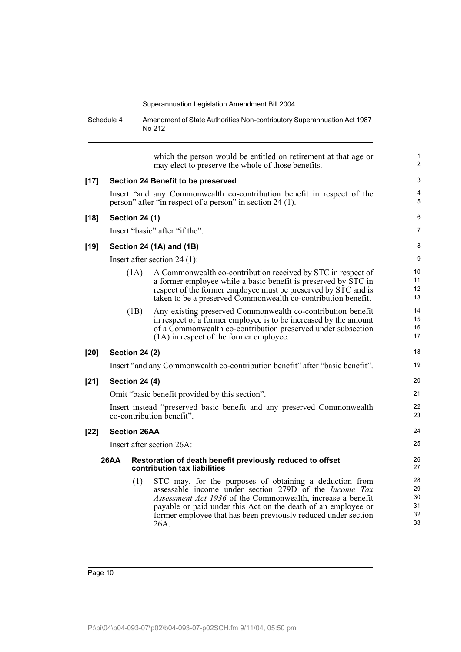Schedule 4 Amendment of State Authorities Non-contributory Superannuation Act 1987 No 212

which the person would be entitled on retirement at that age or may elect to preserve the whole of those benefits. **[17] Section 24 Benefit to be preserved** Insert "and any Commonwealth co-contribution benefit in respect of the person" after "in respect of a person" in section 24 (1). **[18] Section 24 (1)** Insert "basic" after "if the". **[19] Section 24 (1A) and (1B)** Insert after section 24 (1): (1A) A Commonwealth co-contribution received by STC in respect of a former employee while a basic benefit is preserved by STC in respect of the former employee must be preserved by STC and is taken to be a preserved Commonwealth co-contribution benefit. (1B) Any existing preserved Commonwealth co-contribution benefit in respect of a former employee is to be increased by the amount of a Commonwealth co-contribution preserved under subsection (1A) in respect of the former employee. **[20] Section 24 (2)** Insert "and any Commonwealth co-contribution benefit" after "basic benefit". **[21] Section 24 (4)** Omit "basic benefit provided by this section". Insert instead "preserved basic benefit and any preserved Commonwealth co-contribution benefit". **[22] Section 26AA**  Insert after section 26A: **26AA Restoration of death benefit previously reduced to offset contribution tax liabilities** (1) STC may, for the purposes of obtaining a deduction from assessable income under section 279D of the *Income Tax Assessment Act 1936* of the Commonwealth, increase a benefit payable or paid under this Act on the death of an employee or former employee that has been previously reduced under section 26A. 1 2 3 4 5 6 7 8 9 10 11 12 13 14 15 16 17 18 19 20 21 22 23 24 25 26 27 28 29 30 31 32 33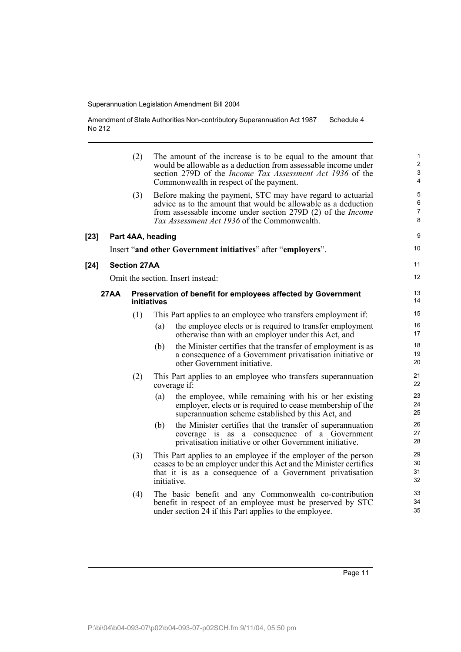Amendment of State Authorities Non-contributory Superannuation Act 1987 No 212 Schedule 4

|        | (2)  |                     |                   | The amount of the increase is to be equal to the amount that<br>would be allowable as a deduction from assessable income under<br>section 279D of the <i>Income Tax Assessment Act 1936</i> of the<br>Commonwealth in respect of the payment. | $\mathbf{1}$<br>$\overline{2}$<br>$\ensuremath{\mathsf{3}}$<br>$\overline{4}$ |
|--------|------|---------------------|-------------------|-----------------------------------------------------------------------------------------------------------------------------------------------------------------------------------------------------------------------------------------------|-------------------------------------------------------------------------------|
|        |      | (3)                 |                   | Before making the payment, STC may have regard to actuarial<br>advice as to the amount that would be allowable as a deduction<br>from assessable income under section 279D (2) of the Income<br>Tax Assessment Act 1936 of the Commonwealth.  | $\mathbf 5$<br>$\,6\,$<br>$\overline{7}$<br>8                                 |
| $[23]$ |      |                     | Part 4AA, heading |                                                                                                                                                                                                                                               | 9                                                                             |
|        |      |                     |                   | Insert "and other Government initiatives" after "employers".                                                                                                                                                                                  | 10                                                                            |
| $[24]$ |      | <b>Section 27AA</b> |                   |                                                                                                                                                                                                                                               | 11                                                                            |
|        |      |                     |                   | Omit the section. Insert instead:                                                                                                                                                                                                             | 12                                                                            |
|        | 27AA |                     | initiatives       | Preservation of benefit for employees affected by Government                                                                                                                                                                                  | 13<br>14                                                                      |
|        |      | (1)                 |                   | This Part applies to an employee who transfers employment if:                                                                                                                                                                                 | 15                                                                            |
|        |      |                     | (a)               | the employee elects or is required to transfer employment<br>otherwise than with an employer under this Act, and                                                                                                                              | 16<br>17                                                                      |
|        |      |                     | (b)               | the Minister certifies that the transfer of employment is as<br>a consequence of a Government privatisation initiative or<br>other Government initiative.                                                                                     | 18<br>19<br>20                                                                |
|        |      | (2)                 | coverage if:      | This Part applies to an employee who transfers superannuation                                                                                                                                                                                 | 21<br>22                                                                      |
|        |      |                     | (a)               | the employee, while remaining with his or her existing<br>employer, elects or is required to cease membership of the<br>superannuation scheme established by this Act, and                                                                    | 23<br>24<br>25                                                                |
|        |      |                     | (b)               | the Minister certifies that the transfer of superannuation<br>coverage is as a consequence of a Government<br>privatisation initiative or other Government initiative.                                                                        | 26<br>27<br>28                                                                |
|        |      | (3)                 | initiative.       | This Part applies to an employee if the employer of the person<br>ceases to be an employer under this Act and the Minister certifies<br>that it is as a consequence of a Government privatisation                                             | 29<br>30<br>31<br>32                                                          |
|        |      | (4)                 |                   | The basic benefit and any Commonwealth co-contribution<br>benefit in respect of an employee must be preserved by STC<br>under section 24 if this Part applies to the employee.                                                                | 33<br>34<br>35                                                                |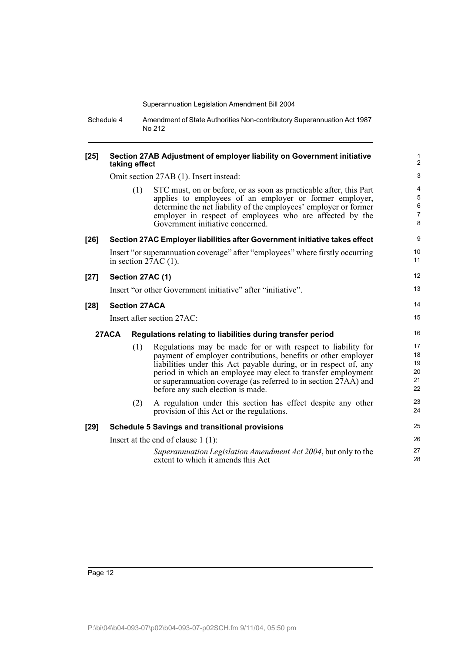Schedule 4 Amendment of State Authorities Non-contributory Superannuation Act 1987 No 212

### **[25] Section 27AB Adjustment of employer liability on Government initiative taking effect**

Omit section 27AB (1). Insert instead:

(1) STC must, on or before, or as soon as practicable after, this Part applies to employees of an employer or former employer, determine the net liability of the employees' employer or former employer in respect of employees who are affected by the Government initiative concerned.

9 10

26 27 28

### **[26] Section 27AC Employer liabilities after Government initiative takes effect**

Insert "or superannuation coverage" after "employees" where firstly occurring in section  $27AC(1)$ .

|        |       |                      | in section $27AC(1)$ .                                                                                                                                                                                                                                                                                                                                                    | 11                               |
|--------|-------|----------------------|---------------------------------------------------------------------------------------------------------------------------------------------------------------------------------------------------------------------------------------------------------------------------------------------------------------------------------------------------------------------------|----------------------------------|
| $[27]$ |       |                      | Section 27AC (1)                                                                                                                                                                                                                                                                                                                                                          | 12                               |
|        |       |                      | Insert "or other Government initiative" after "initiative".                                                                                                                                                                                                                                                                                                               | 13                               |
| [28]   |       | <b>Section 27ACA</b> |                                                                                                                                                                                                                                                                                                                                                                           | 14                               |
|        |       |                      | Insert after section 27AC:                                                                                                                                                                                                                                                                                                                                                | 15                               |
|        | 27ACA |                      | Regulations relating to liabilities during transfer period                                                                                                                                                                                                                                                                                                                | 16                               |
|        |       | (1)                  | Regulations may be made for or with respect to liability for<br>payment of employer contributions, benefits or other employer<br>liabilities under this Act payable during, or in respect of, any<br>period in which an employee may elect to transfer employment<br>or superannuation coverage (as referred to in section 27AA) and<br>before any such election is made. | 17<br>18<br>19<br>20<br>21<br>22 |
|        |       | (2)                  | A regulation under this section has effect despite any other<br>provision of this Act or the regulations.                                                                                                                                                                                                                                                                 | 23<br>24                         |
| 1291   |       |                      | Schodule 5 Savings and transitional provisions                                                                                                                                                                                                                                                                                                                            | 25                               |

### **[29] Schedule 5 Savings and transitional provisions**

Insert at the end of clause 1 (1):

*Superannuation Legislation Amendment Act 2004*, but only to the extent to which it amends this Act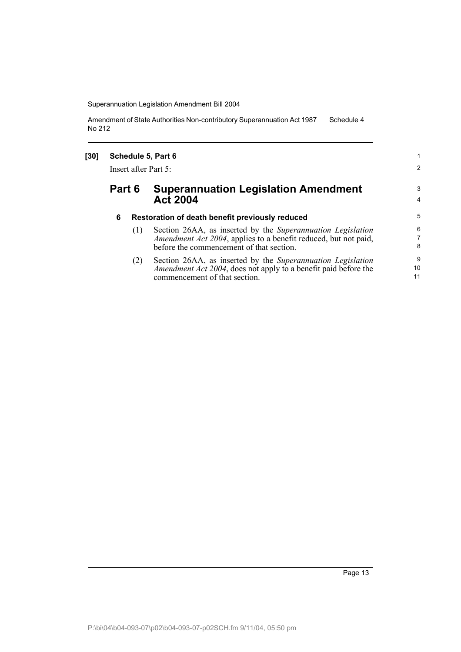Amendment of State Authorities Non-contributory Superannuation Act 1987 No 212 Schedule 4

commencement of that section.

#### **[30] Schedule 5, Part 6** Insert after Part 5: **Part 6 Superannuation Legislation Amendment Act 2004 6 Restoration of death benefit previously reduced** (1) Section 26AA, as inserted by the *Superannuation Legislation Amendment Act 2004*, applies to a benefit reduced, but not paid, before the commencement of that section. (2) Section 26AA, as inserted by the *Superannuation Legislation Amendment Act 2004*, does not apply to a benefit paid before the 1  $\overline{2}$ 3 4 5 6 7 8 9 10 11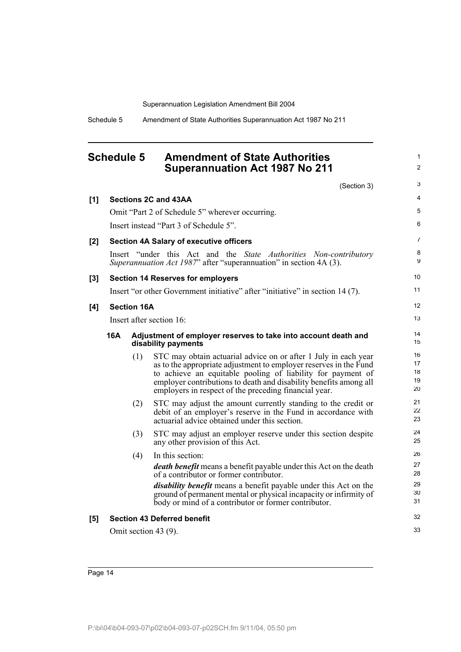Schedule 5 Amendment of State Authorities Superannuation Act 1987 No 211

## **Schedule 5 Amendment of State Authorities Superannuation Act 1987 No 211**

|     |                          |                                                                                       | (Section 3)                                                                                                                                                                                                                                                                                                                       | 3                          |
|-----|--------------------------|---------------------------------------------------------------------------------------|-----------------------------------------------------------------------------------------------------------------------------------------------------------------------------------------------------------------------------------------------------------------------------------------------------------------------------------|----------------------------|
| [1] |                          |                                                                                       | Sections 2C and 43AA                                                                                                                                                                                                                                                                                                              | 4                          |
|     |                          |                                                                                       | Omit "Part 2 of Schedule 5" wherever occurring.                                                                                                                                                                                                                                                                                   | 5                          |
|     |                          |                                                                                       | Insert instead "Part 3 of Schedule 5".                                                                                                                                                                                                                                                                                            | 6                          |
| [2] |                          |                                                                                       | <b>Section 4A Salary of executive officers</b>                                                                                                                                                                                                                                                                                    | $\overline{7}$             |
|     |                          |                                                                                       | Insert "under this Act and the State Authorities Non-contributory<br>Superannuation Act 1987" after "superannuation" in section 4A (3).                                                                                                                                                                                           | 8<br>9                     |
| [3] |                          |                                                                                       | <b>Section 14 Reserves for employers</b>                                                                                                                                                                                                                                                                                          | 10                         |
|     |                          |                                                                                       | Insert "or other Government initiative" after "initiative" in section 14 (7).                                                                                                                                                                                                                                                     | 11                         |
| [4] |                          | <b>Section 16A</b>                                                                    |                                                                                                                                                                                                                                                                                                                                   | 12                         |
|     | Insert after section 16: |                                                                                       |                                                                                                                                                                                                                                                                                                                                   |                            |
|     | 16A                      | Adjustment of employer reserves to take into account death and<br>disability payments |                                                                                                                                                                                                                                                                                                                                   | 14<br>15                   |
|     |                          | (1)                                                                                   | STC may obtain actuarial advice on or after 1 July in each year<br>as to the appropriate adjustment to employer reserves in the Fund<br>to achieve an equitable pooling of liability for payment of<br>employer contributions to death and disability benefits among all<br>employers in respect of the preceding financial year. | 16<br>17<br>18<br>19<br>20 |
|     |                          | (2)                                                                                   | STC may adjust the amount currently standing to the credit or<br>debit of an employer's reserve in the Fund in accordance with<br>actuarial advice obtained under this section.                                                                                                                                                   | 21<br>22<br>23             |
|     |                          | (3)                                                                                   | STC may adjust an employer reserve under this section despite<br>any other provision of this Act.                                                                                                                                                                                                                                 | 24<br>25                   |
|     |                          | (4)                                                                                   | In this section:                                                                                                                                                                                                                                                                                                                  | 26                         |
|     |                          |                                                                                       | <i>death benefit</i> means a benefit payable under this Act on the death<br>of a contributor or former contributor.                                                                                                                                                                                                               | 27<br>28                   |
|     |                          |                                                                                       | <i>disability benefit</i> means a benefit payable under this Act on the<br>ground of permanent mental or physical incapacity or infirmity of<br>body or mind of a contributor or former contributor.                                                                                                                              | 29<br>30<br>31             |
| [5] |                          |                                                                                       | <b>Section 43 Deferred benefit</b>                                                                                                                                                                                                                                                                                                | 32                         |
|     |                          |                                                                                       | Omit section 43 (9).                                                                                                                                                                                                                                                                                                              | 33                         |

1 2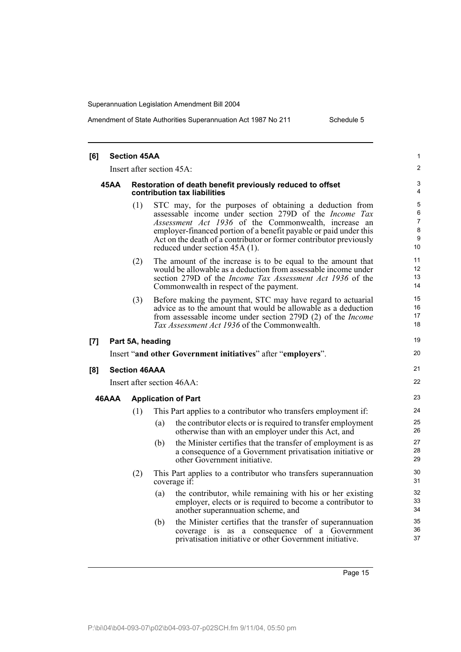### Amendment of State Authorities Superannuation Act 1987 No 211 Schedule 5

| [6]         | <b>Section 45AA</b>  |                                                                                                                                                                                                                                                                                                                                                               | 1                                        |
|-------------|----------------------|---------------------------------------------------------------------------------------------------------------------------------------------------------------------------------------------------------------------------------------------------------------------------------------------------------------------------------------------------------------|------------------------------------------|
|             |                      | Insert after section 45A:                                                                                                                                                                                                                                                                                                                                     | 2                                        |
| <b>45AA</b> |                      | Restoration of death benefit previously reduced to offset<br>contribution tax liabilities                                                                                                                                                                                                                                                                     | 3<br>4                                   |
|             | (1)                  | STC may, for the purposes of obtaining a deduction from<br>assessable income under section 279D of the <i>Income Tax</i><br>Assessment Act 1936 of the Commonwealth, increase an<br>employer-financed portion of a benefit payable or paid under this<br>Act on the death of a contributor or former contributor previously<br>reduced under section 45A (1). | 5<br>6<br>$\overline{7}$<br>8<br>9<br>10 |
|             | (2)                  | The amount of the increase is to be equal to the amount that<br>would be allowable as a deduction from assessable income under<br>section 279D of the <i>Income Tax Assessment Act 1936</i> of the<br>Commonwealth in respect of the payment.                                                                                                                 | 11<br>12<br>13<br>14                     |
|             | (3)                  | Before making the payment, STC may have regard to actuarial<br>advice as to the amount that would be allowable as a deduction<br>from assessable income under section 279D (2) of the <i>Income</i><br>Tax Assessment Act 1936 of the Commonwealth.                                                                                                           | 15<br>16<br>17<br>18                     |
| $[7]$       | Part 5A, heading     |                                                                                                                                                                                                                                                                                                                                                               | 19                                       |
|             |                      | Insert "and other Government initiatives" after "employers".                                                                                                                                                                                                                                                                                                  | 20                                       |
| [8]         | <b>Section 46AAA</b> |                                                                                                                                                                                                                                                                                                                                                               | 21                                       |
|             |                      | Insert after section 46AA:                                                                                                                                                                                                                                                                                                                                    | 22                                       |
| 46AAA       |                      | <b>Application of Part</b>                                                                                                                                                                                                                                                                                                                                    | 23                                       |
|             | (1)                  | This Part applies to a contributor who transfers employment if:                                                                                                                                                                                                                                                                                               | 24                                       |
|             |                      | the contributor elects or is required to transfer employment<br>(a)<br>otherwise than with an employer under this Act, and                                                                                                                                                                                                                                    | 25<br>26                                 |
|             |                      | the Minister certifies that the transfer of employment is as<br>(b)<br>a consequence of a Government privatisation initiative or<br>other Government initiative.                                                                                                                                                                                              | 27<br>28<br>29                           |
|             | (2)                  | This Part applies to a contributor who transfers superannuation<br>coverage if:                                                                                                                                                                                                                                                                               | 30<br>31                                 |
|             |                      | the contributor, while remaining with his or her existing<br>(a)<br>employer, elects or is required to become a contributor to<br>another superannuation scheme, and                                                                                                                                                                                          | 32<br>33<br>34                           |
|             |                      | the Minister certifies that the transfer of superannuation<br>(b)<br>coverage is as a consequence of a Government<br>privatisation initiative or other Government initiative.                                                                                                                                                                                 | 35<br>36<br>37                           |
|             |                      |                                                                                                                                                                                                                                                                                                                                                               |                                          |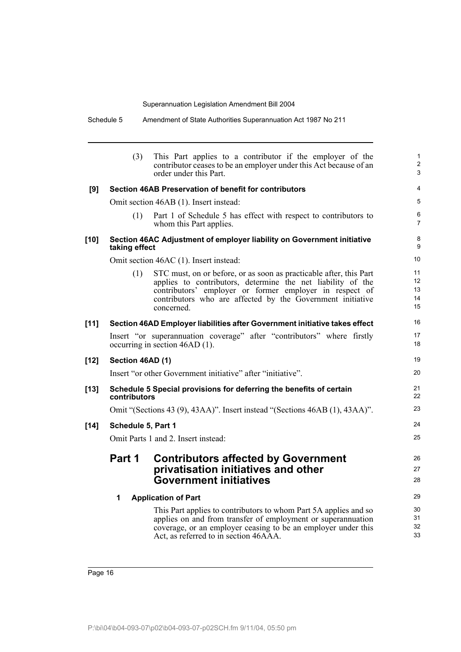Schedule 5 Amendment of State Authorities Superannuation Act 1987 No 211

|        | (3)                | This Part applies to a contributor if the employer of the<br>contributor ceases to be an employer under this Act because of an<br>order under this Part.                                                                                                                 | $\mathbf{1}$<br>$\overline{2}$<br>3 |
|--------|--------------------|--------------------------------------------------------------------------------------------------------------------------------------------------------------------------------------------------------------------------------------------------------------------------|-------------------------------------|
| [9]    |                    | <b>Section 46AB Preservation of benefit for contributors</b>                                                                                                                                                                                                             | $\overline{4}$                      |
|        |                    | Omit section 46AB (1). Insert instead:                                                                                                                                                                                                                                   | 5                                   |
|        | (1)                | Part 1 of Schedule 5 has effect with respect to contributors to<br>whom this Part applies.                                                                                                                                                                               | 6<br>$\overline{7}$                 |
| $[10]$ | taking effect      | Section 46AC Adjustment of employer liability on Government initiative                                                                                                                                                                                                   | 8<br>9                              |
|        |                    | Omit section 46AC (1). Insert instead:                                                                                                                                                                                                                                   | 10                                  |
|        | (1)                | STC must, on or before, or as soon as practicable after, this Part<br>applies to contributors, determine the net liability of the<br>contributors' employer or former employer in respect of<br>contributors who are affected by the Government initiative<br>concerned. | 11<br>12<br>13<br>14<br>15          |
| $[11]$ |                    | Section 46AD Employer liabilities after Government initiative takes effect                                                                                                                                                                                               | 16                                  |
|        |                    | Insert "or superannuation coverage" after "contributors" where firstly<br>occurring in section 46AD (1).                                                                                                                                                                 | 17<br>18                            |
| $[12]$ | Section 46AD (1)   |                                                                                                                                                                                                                                                                          | 19                                  |
|        |                    | Insert "or other Government initiative" after "initiative".                                                                                                                                                                                                              | 20                                  |
| $[13]$ | contributors       | Schedule 5 Special provisions for deferring the benefits of certain                                                                                                                                                                                                      | 21<br>22                            |
|        |                    | Omit "(Sections 43 (9), 43AA)". Insert instead "(Sections 46AB (1), 43AA)".                                                                                                                                                                                              | 23                                  |
| $[14]$ | Schedule 5, Part 1 |                                                                                                                                                                                                                                                                          | 24                                  |
|        |                    | Omit Parts 1 and 2. Insert instead:                                                                                                                                                                                                                                      | 25                                  |
|        | Part 1             | <b>Contributors affected by Government</b><br>privatisation initiatives and other<br><b>Government initiatives</b>                                                                                                                                                       | 26<br>27<br>28                      |
|        | 1                  | <b>Application of Part</b>                                                                                                                                                                                                                                               | 29                                  |
|        |                    | This Part applies to contributors to whom Part 5A applies and so<br>applies on and from transfer of employment or superannuation<br>coverage, or an employer ceasing to be an employer under this<br>Act, as referred to in section 46AAA.                               | 30<br>31<br>32<br>33                |

P:\bi\04\b04-093-07\p02\b04-093-07-p02SCH.fm 9/11/04, 05:50 pm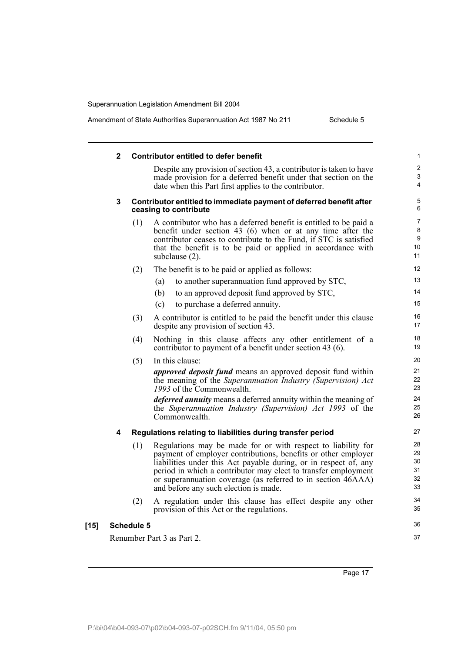|        | $\mathbf{2}$ |                   | Contributor entitled to defer benefit                                                                                                                                                                                                                                                                                                                                        | $\mathbf{1}$                                      |
|--------|--------------|-------------------|------------------------------------------------------------------------------------------------------------------------------------------------------------------------------------------------------------------------------------------------------------------------------------------------------------------------------------------------------------------------------|---------------------------------------------------|
|        |              |                   | Despite any provision of section 43, a contributor is taken to have<br>made provision for a deferred benefit under that section on the<br>date when this Part first applies to the contributor.                                                                                                                                                                              | $\overline{2}$<br>3<br>4                          |
|        | 3            |                   | Contributor entitled to immediate payment of deferred benefit after<br>ceasing to contribute                                                                                                                                                                                                                                                                                 | 5<br>6                                            |
|        |              | (1)               | A contributor who has a deferred benefit is entitled to be paid a<br>benefit under section 43 (6) when or at any time after the<br>contributor ceases to contribute to the Fund, if STC is satisfied<br>that the benefit is to be paid or applied in accordance with<br>subclause (2).                                                                                       | $\overline{7}$<br>8<br>9<br>10 <sup>°</sup><br>11 |
|        |              | (2)               | The benefit is to be paid or applied as follows:                                                                                                                                                                                                                                                                                                                             | 12                                                |
|        |              |                   | to another superannuation fund approved by STC,<br>(a)                                                                                                                                                                                                                                                                                                                       | 13                                                |
|        |              |                   | to an approved deposit fund approved by STC,<br>(b)                                                                                                                                                                                                                                                                                                                          | 14                                                |
|        |              |                   | (c)<br>to purchase a deferred annuity.                                                                                                                                                                                                                                                                                                                                       | 15                                                |
|        |              | (3)               | A contributor is entitled to be paid the benefit under this clause<br>despite any provision of section 43.                                                                                                                                                                                                                                                                   | 16<br>17                                          |
|        |              | (4)               | Nothing in this clause affects any other entitlement of a<br>contributor to payment of a benefit under section 43 (6).                                                                                                                                                                                                                                                       | 18<br>19                                          |
|        |              | (5)               | In this clause:                                                                                                                                                                                                                                                                                                                                                              | 20                                                |
|        |              |                   | <i>approved deposit fund</i> means an approved deposit fund within<br>the meaning of the Superannuation Industry (Supervision) Act<br>1993 of the Commonwealth.                                                                                                                                                                                                              | 21<br>22<br>23                                    |
|        |              |                   | <i>deferred annuity</i> means a deferred annuity within the meaning of<br>the Superannuation Industry (Supervision) Act 1993 of the<br>Commonwealth.                                                                                                                                                                                                                         | 24<br>25<br>26                                    |
|        | 4            |                   | Regulations relating to liabilities during transfer period                                                                                                                                                                                                                                                                                                                   | 27                                                |
|        |              | (1)               | Regulations may be made for or with respect to liability for<br>payment of employer contributions, benefits or other employer<br>liabilities under this Act payable during, or in respect of, any<br>period in which a contributor may elect to transfer employment<br>or superannuation coverage (as referred to in section 46AAA)<br>and before any such election is made. | 28<br>29<br>30<br>31<br>32<br>33                  |
|        |              | (2)               | A regulation under this clause has effect despite any other<br>provision of this Act or the regulations.                                                                                                                                                                                                                                                                     | 34<br>35                                          |
| $[15]$ |              | <b>Schedule 5</b> |                                                                                                                                                                                                                                                                                                                                                                              | 36                                                |
|        |              |                   | Renumber Part 3 as Part 2.                                                                                                                                                                                                                                                                                                                                                   | 37                                                |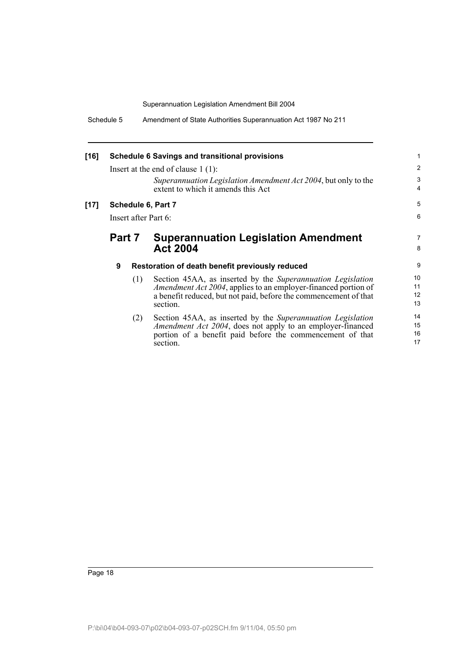Schedule 5 Amendment of State Authorities Superannuation Act 1987 No 211

| [16]   | <b>Schedule 6 Savings and transitional provisions</b> |     |                                                                                                                                                                                                                       |                         |  |
|--------|-------------------------------------------------------|-----|-----------------------------------------------------------------------------------------------------------------------------------------------------------------------------------------------------------------------|-------------------------|--|
|        |                                                       |     | Insert at the end of clause $1(1)$ :                                                                                                                                                                                  | $\overline{\mathbf{c}}$ |  |
|        |                                                       |     | Superannuation Legislation Amendment Act 2004, but only to the<br>extent to which it amends this Act                                                                                                                  | 3<br>4                  |  |
| $[17]$ |                                                       |     | Schedule 6, Part 7                                                                                                                                                                                                    | 5                       |  |
|        | Insert after Part 6:                                  |     |                                                                                                                                                                                                                       |                         |  |
|        | Part 7                                                |     | <b>Superannuation Legislation Amendment</b><br><b>Act 2004</b>                                                                                                                                                        | 7<br>8                  |  |
|        | 9                                                     |     | Restoration of death benefit previously reduced                                                                                                                                                                       | 9                       |  |
|        |                                                       | (1) | Section 45AA, as inserted by the Superannuation Legislation<br><i>Amendment Act 2004</i> , applies to an employer-financed portion of<br>a benefit reduced, but not paid, before the commencement of that<br>section. | 10<br>11<br>12<br>13    |  |
|        |                                                       | (2) | Section 45AA, as inserted by the Superannuation Legislation<br><i>Amendment Act 2004</i> , does not apply to an employer-financed<br>portion of a benefit paid before the commencement of that<br>section.            | 14<br>15<br>16<br>17    |  |
|        |                                                       |     |                                                                                                                                                                                                                       |                         |  |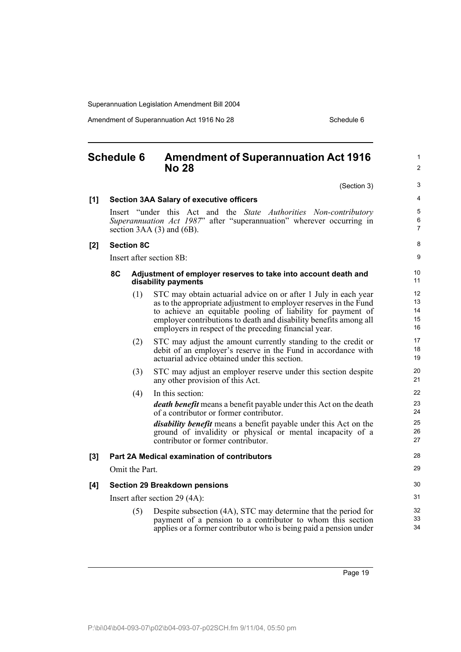Amendment of Superannuation Act 1916 No 28 Schedule 6

## **Schedule 6 Amendment of Superannuation Act 1916 No 28**

(Section 3)

1  $\overline{2}$ 

28 29

## **[1] Section 3AA Salary of executive officers**  Insert "under this Act and the *State Authorities Non-contributory Superannuation Act 1987*" after "superannuation" wherever occurring in section  $3AA(3)$  and  $(6B)$ . **[2] Section 8C**  Insert after section 8B:

### **8C Adjustment of employer reserves to take into account death and disability payments**

- (1) STC may obtain actuarial advice on or after 1 July in each year as to the appropriate adjustment to employer reserves in the Fund to achieve an equitable pooling of liability for payment of employer contributions to death and disability benefits among all employers in respect of the preceding financial year.
- (2) STC may adjust the amount currently standing to the credit or debit of an employer's reserve in the Fund in accordance with actuarial advice obtained under this section.
- (3) STC may adjust an employer reserve under this section despite any other provision of this Act.
- (4) In this section: *death benefit* means a benefit payable under this Act on the death of a contributor or former contributor.

*disability benefit* means a benefit payable under this Act on the ground of invalidity or physical or mental incapacity of a contributor or former contributor.

### **[3] Part 2A Medical examination of contributors**

Omit the Part.

### **[4] Section 29 Breakdown pensions**

Insert after section 29 (4A):

(5) Despite subsection (4A), STC may determine that the period for payment of a pension to a contributor to whom this section applies or a former contributor who is being paid a pension under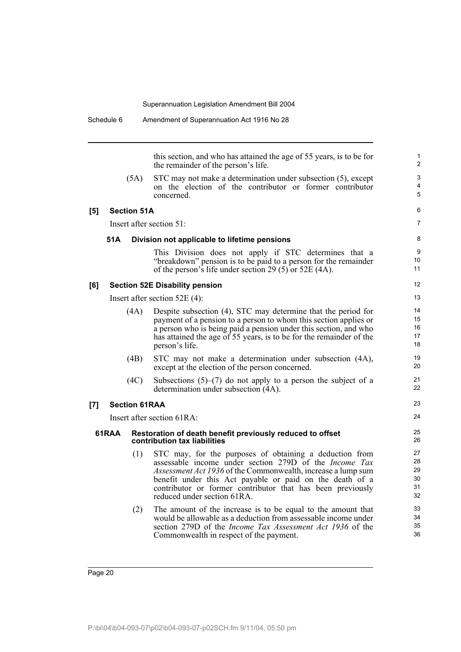|     | Schedule 6 |                      | Amendment of Superannuation Act 1916 No 28                                                                                                                                                                                                                                                                                                        |                                  |
|-----|------------|----------------------|---------------------------------------------------------------------------------------------------------------------------------------------------------------------------------------------------------------------------------------------------------------------------------------------------------------------------------------------------|----------------------------------|
|     |            |                      | this section, and who has attained the age of 55 years, is to be for<br>the remainder of the person's life.                                                                                                                                                                                                                                       | $\mathbf{1}$<br>$\overline{2}$   |
|     |            | (5A)                 | STC may not make a determination under subsection (5), except<br>on the election of the contributor or former contributor<br>concerned.                                                                                                                                                                                                           | 3<br>4<br>5                      |
| [5] |            | <b>Section 51A</b>   |                                                                                                                                                                                                                                                                                                                                                   | 6                                |
|     |            |                      | Insert after section 51:                                                                                                                                                                                                                                                                                                                          | $\overline{7}$                   |
|     | 51A        |                      | Division not applicable to lifetime pensions                                                                                                                                                                                                                                                                                                      | 8                                |
|     |            |                      | This Division does not apply if STC determines that a<br>"breakdown" pension is to be paid to a person for the remainder<br>of the person's life under section 29 (5) or $52E(4A)$ .                                                                                                                                                              | 9<br>10<br>11                    |
| [6] |            |                      | <b>Section 52E Disability pension</b>                                                                                                                                                                                                                                                                                                             | 12 <sup>°</sup>                  |
|     |            |                      | Insert after section $52E(4)$ :                                                                                                                                                                                                                                                                                                                   | 13                               |
|     |            | (4A)                 | Despite subsection (4), STC may determine that the period for<br>payment of a pension to a person to whom this section applies or<br>a person who is being paid a pension under this section, and who<br>has attained the age of 55 years, is to be for the remainder of the<br>person's life.                                                    | 14<br>15<br>16<br>17<br>18       |
|     |            | (4B)                 | STC may not make a determination under subsection (4A),<br>except at the election of the person concerned.                                                                                                                                                                                                                                        | 19<br>20                         |
|     |            | (4C)                 | Subsections $(5)$ – $(7)$ do not apply to a person the subject of a<br>determination under subsection (4A).                                                                                                                                                                                                                                       | 21<br>22                         |
| [7] |            | <b>Section 61RAA</b> |                                                                                                                                                                                                                                                                                                                                                   | 23                               |
|     |            |                      | Insert after section 61RA:                                                                                                                                                                                                                                                                                                                        | 24                               |
|     | 61RAA      |                      | Restoration of death benefit previously reduced to offset<br>contribution tax liabilities                                                                                                                                                                                                                                                         | 25<br>26                         |
|     |            | (1)                  | STC may, for the purposes of obtaining a deduction from<br>assessable income under section 279D of the Income Tax<br><i>Assessment Act 1936</i> of the Commonwealth, increase a lump sum<br>benefit under this Act payable or paid on the death of a<br>contributor or former contributor that has been previously<br>reduced under section 61RA. | 27<br>28<br>29<br>30<br>31<br>32 |
|     |            | (2)                  | The amount of the increase is to be equal to the amount that<br>would be allowable as a deduction from assessable income under<br>section 279D of the <i>Income Tax Assessment Act 1936</i> of the<br>Commonwealth in respect of the payment.                                                                                                     | 33<br>34<br>35<br>36             |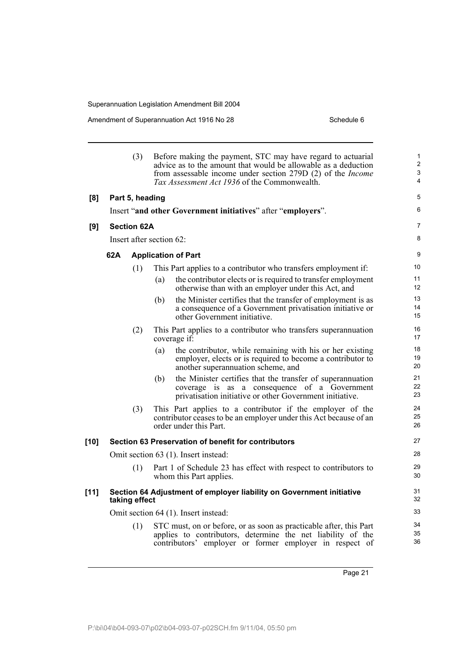Amendment of Superannuation Act 1916 No 28 Schedule 6

|        |     | (3)                | Before making the payment, STC may have regard to actuarial<br>advice as to the amount that would be allowable as a deduction<br>from assessable income under section 279D (2) of the <i>Income</i><br>Tax Assessment Act 1936 of the Commonwealth. | $\mathbf{1}$<br>$\boldsymbol{2}$<br>$\mathfrak{S}$<br>4 |
|--------|-----|--------------------|-----------------------------------------------------------------------------------------------------------------------------------------------------------------------------------------------------------------------------------------------------|---------------------------------------------------------|
| [8]    |     | Part 5, heading    |                                                                                                                                                                                                                                                     | 5                                                       |
|        |     |                    | Insert "and other Government initiatives" after "employers".                                                                                                                                                                                        | 6                                                       |
| $[9]$  |     | <b>Section 62A</b> |                                                                                                                                                                                                                                                     | $\overline{7}$                                          |
|        |     |                    | Insert after section 62:                                                                                                                                                                                                                            | 8                                                       |
|        | 62A |                    | <b>Application of Part</b>                                                                                                                                                                                                                          | 9                                                       |
|        |     | (1)                | This Part applies to a contributor who transfers employment if:                                                                                                                                                                                     | 10                                                      |
|        |     |                    | the contributor elects or is required to transfer employment<br>(a)<br>otherwise than with an employer under this Act, and                                                                                                                          | 11<br>12                                                |
|        |     |                    | the Minister certifies that the transfer of employment is as<br>(b)<br>a consequence of a Government privatisation initiative or<br>other Government initiative.                                                                                    | 13<br>14<br>15                                          |
|        |     | (2)                | This Part applies to a contributor who transfers superannuation<br>coverage if:                                                                                                                                                                     | 16<br>17                                                |
|        |     |                    | the contributor, while remaining with his or her existing<br>(a)<br>employer, elects or is required to become a contributor to<br>another superannuation scheme, and                                                                                | 18<br>19<br>20                                          |
|        |     |                    | the Minister certifies that the transfer of superannuation<br>(b)<br>coverage is as a consequence of a Government<br>privatisation initiative or other Government initiative.                                                                       | 21<br>22<br>23                                          |
|        |     | (3)                | This Part applies to a contributor if the employer of the<br>contributor ceases to be an employer under this Act because of an<br>order under this Part.                                                                                            | 24<br>25<br>26                                          |
| $[10]$ |     |                    | Section 63 Preservation of benefit for contributors                                                                                                                                                                                                 | 27                                                      |
|        |     |                    | Omit section 63 (1). Insert instead:                                                                                                                                                                                                                | 28                                                      |
|        |     | (1)                | Part 1 of Schedule 23 has effect with respect to contributors to<br>whom this Part applies.                                                                                                                                                         | 29<br>30                                                |
| $[11]$ |     | taking effect      | Section 64 Adjustment of employer liability on Government initiative                                                                                                                                                                                | 31<br>32                                                |
|        |     |                    | Omit section 64 (1). Insert instead:                                                                                                                                                                                                                | 33                                                      |
|        |     | (1)                | STC must, on or before, or as soon as practicable after, this Part<br>applies to contributors, determine the net liability of the<br>contributors' employer or former employer in respect of                                                        | 34<br>35<br>36                                          |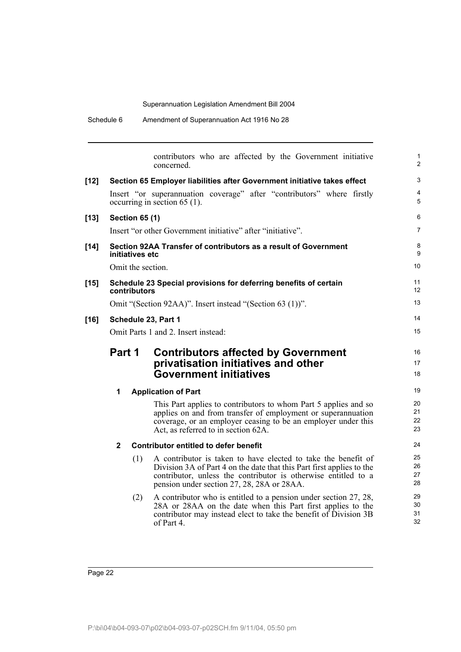|      |              |                       | contributors who are affected by the Government initiative<br>concerned.                                                                                                                                                                               | $\mathbf{1}$<br>2    |
|------|--------------|-----------------------|--------------------------------------------------------------------------------------------------------------------------------------------------------------------------------------------------------------------------------------------------------|----------------------|
| [12] |              |                       | Section 65 Employer liabilities after Government initiative takes effect                                                                                                                                                                               | 3                    |
|      |              |                       | Insert "or superannuation coverage" after "contributors" where firstly<br>occurring in section $65(1)$ .                                                                                                                                               | $\overline{4}$<br>5  |
| [13] |              | <b>Section 65 (1)</b> |                                                                                                                                                                                                                                                        | 6                    |
|      |              |                       | Insert "or other Government initiative" after "initiative".                                                                                                                                                                                            | $\overline{7}$       |
| [14] |              | initiatives etc       | Section 92AA Transfer of contributors as a result of Government                                                                                                                                                                                        | 8<br>9               |
|      |              | Omit the section.     |                                                                                                                                                                                                                                                        | 10                   |
| [15] |              | contributors          | Schedule 23 Special provisions for deferring benefits of certain                                                                                                                                                                                       | 11<br>12             |
|      |              |                       | Omit "(Section 92AA)". Insert instead "(Section 63 (1))".                                                                                                                                                                                              | 13                   |
| [16] |              |                       | Schedule 23, Part 1                                                                                                                                                                                                                                    | 14                   |
|      |              |                       | Omit Parts 1 and 2. Insert instead:                                                                                                                                                                                                                    | 15                   |
|      | Part 1       |                       | <b>Contributors affected by Government</b>                                                                                                                                                                                                             |                      |
|      |              |                       | privatisation initiatives and other<br><b>Government initiatives</b>                                                                                                                                                                                   | 17<br>18             |
|      | 1            |                       | <b>Application of Part</b>                                                                                                                                                                                                                             | 19                   |
|      |              |                       | This Part applies to contributors to whom Part 5 applies and so<br>applies on and from transfer of employment or superannuation<br>coverage, or an employer ceasing to be an employer under this<br>Act, as referred to in section 62A.                | 20<br>21<br>22<br>23 |
|      | $\mathbf{2}$ |                       | <b>Contributor entitled to defer benefit</b>                                                                                                                                                                                                           | 24                   |
|      |              | (1)                   | A contributor is taken to have elected to take the benefit of<br>Division 3A of Part 4 on the date that this Part first applies to the<br>contributor, unless the contributor is otherwise entitled to a<br>pension under section 27, 28, 28A or 28AA. | 25<br>26<br>27<br>28 |
|      |              |                       |                                                                                                                                                                                                                                                        | 29                   |
|      |              | (2)                   | A contributor who is entitled to a pension under section 27, 28,<br>28A or 28AA on the date when this Part first applies to the<br>contributor may instead elect to take the benefit of Division 3B<br>of Part 4.                                      | 30<br>31<br>32       |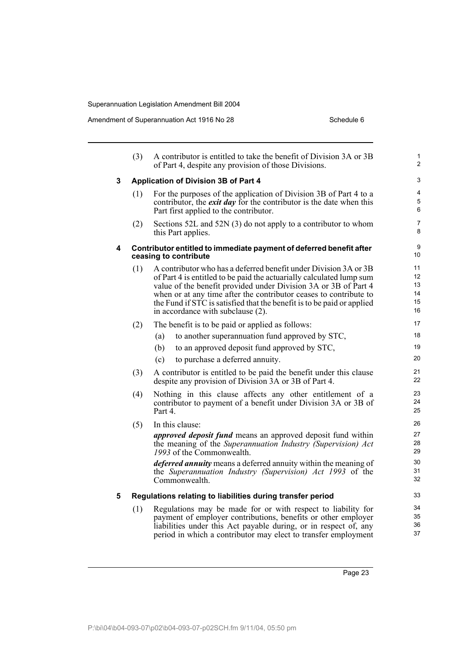|   | (3) | A contributor is entitled to take the benefit of Division 3A or 3B<br>of Part 4, despite any provision of those Divisions.                                                                                                                                                                                                                                                                      | $\mathbf{1}$<br>$\overline{c}$   |
|---|-----|-------------------------------------------------------------------------------------------------------------------------------------------------------------------------------------------------------------------------------------------------------------------------------------------------------------------------------------------------------------------------------------------------|----------------------------------|
| 3 |     | <b>Application of Division 3B of Part 4</b>                                                                                                                                                                                                                                                                                                                                                     | 3                                |
|   | (1) | For the purposes of the application of Division 3B of Part 4 to a<br>contributor, the <i>exit day</i> for the contributor is the date when this<br>Part first applied to the contributor.                                                                                                                                                                                                       | 4<br>5<br>6                      |
|   | (2) | Sections $52L$ and $52N(3)$ do not apply to a contributor to whom<br>this Part applies.                                                                                                                                                                                                                                                                                                         | 7<br>8                           |
| 4 |     | Contributor entitled to immediate payment of deferred benefit after<br>ceasing to contribute                                                                                                                                                                                                                                                                                                    | 9<br>10                          |
|   | (1) | A contributor who has a deferred benefit under Division 3A or 3B<br>of Part 4 is entitled to be paid the actuarially calculated lump sum<br>value of the benefit provided under Division 3A or 3B of Part 4<br>when or at any time after the contributor ceases to contribute to<br>the Fund if STC is satisfied that the benefit is to be paid or applied<br>in accordance with subclause (2). | 11<br>12<br>13<br>14<br>15<br>16 |
|   | (2) | The benefit is to be paid or applied as follows:                                                                                                                                                                                                                                                                                                                                                | 17                               |
|   |     | to another superannuation fund approved by STC,<br>(a)                                                                                                                                                                                                                                                                                                                                          | 18                               |
|   |     | (b)<br>to an approved deposit fund approved by STC,                                                                                                                                                                                                                                                                                                                                             | 19                               |
|   |     | (c)<br>to purchase a deferred annuity.                                                                                                                                                                                                                                                                                                                                                          | 20                               |
|   | (3) | A contributor is entitled to be paid the benefit under this clause<br>despite any provision of Division 3A or 3B of Part 4.                                                                                                                                                                                                                                                                     | 21<br>22                         |
|   | (4) | Nothing in this clause affects any other entitlement of a<br>contributor to payment of a benefit under Division 3A or 3B of<br>Part 4.                                                                                                                                                                                                                                                          | 23<br>24<br>25                   |
|   | (5) | In this clause:                                                                                                                                                                                                                                                                                                                                                                                 | 26                               |
|   |     | <i>approved deposit fund</i> means an approved deposit fund within<br>the meaning of the Superannuation Industry (Supervision) Act<br>1993 of the Commonwealth.                                                                                                                                                                                                                                 | 27<br>28<br>29                   |
|   |     | <i>deferred annuity</i> means a deferred annuity within the meaning of<br>the Superannuation Industry (Supervision) Act 1993 of the<br>Commonwealth.                                                                                                                                                                                                                                            | 30<br>31<br>32                   |
| 5 |     | Regulations relating to liabilities during transfer period                                                                                                                                                                                                                                                                                                                                      | 33                               |
|   | (1) | Regulations may be made for or with respect to liability for<br>payment of employer contributions, benefits or other employer<br>liabilities under this Act payable during, or in respect of, any<br>period in which a contributor may elect to transfer employment                                                                                                                             | 34<br>35<br>36<br>37             |
|   |     |                                                                                                                                                                                                                                                                                                                                                                                                 |                                  |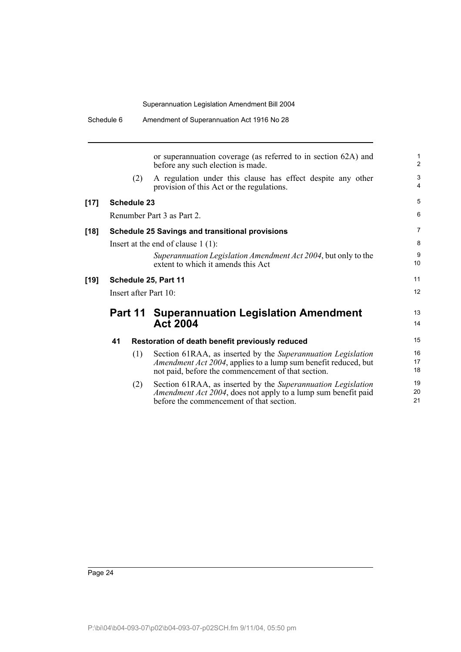|      | Schedule 6            |                    | Amendment of Superannuation Act 1916 No 28                                                                                                                                           |                |
|------|-----------------------|--------------------|--------------------------------------------------------------------------------------------------------------------------------------------------------------------------------------|----------------|
|      |                       |                    | or superannuation coverage (as referred to in section 62A) and<br>before any such election is made.                                                                                  |                |
|      |                       | (2)                | A regulation under this clause has effect despite any other<br>provision of this Act or the regulations.                                                                             |                |
| [17] |                       | <b>Schedule 23</b> |                                                                                                                                                                                      |                |
|      |                       |                    | Renumber Part 3 as Part 2.                                                                                                                                                           |                |
| [18] |                       |                    | <b>Schedule 25 Savings and transitional provisions</b>                                                                                                                               |                |
|      |                       |                    | Insert at the end of clause $1(1)$ :                                                                                                                                                 |                |
|      |                       |                    | Superannuation Legislation Amendment Act 2004, but only to the<br>extent to which it amends this Act                                                                                 | 10             |
| [19] |                       |                    | Schedule 25, Part 11                                                                                                                                                                 | 11             |
|      | Insert after Part 10: |                    |                                                                                                                                                                                      |                |
|      |                       | Part 11            | <b>Superannuation Legislation Amendment</b><br><b>Act 2004</b>                                                                                                                       | 13<br>14       |
|      | 41                    |                    | Restoration of death benefit previously reduced                                                                                                                                      | 15             |
|      |                       | (1)                | Section 61RAA, as inserted by the Superannuation Legislation<br>Amendment Act 2004, applies to a lump sum benefit reduced, but<br>not paid, before the commencement of that section. | 16<br>17<br>18 |
|      |                       | (2)                | Section 61RAA, as inserted by the Superannuation Legislation<br><i>Amendment Act 2004</i> , does not apply to a lump sum benefit paid<br>before the commencement of that section.    | 19<br>20<br>21 |
|      |                       |                    |                                                                                                                                                                                      |                |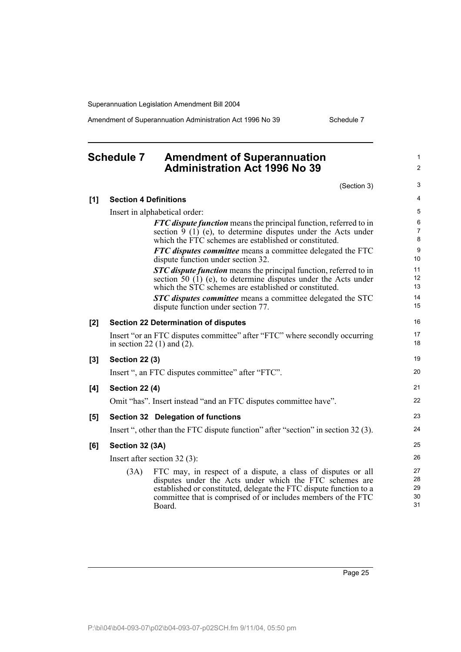Amendment of Superannuation Administration Act 1996 No 39 Schedule 7

## **Schedule 7 Amendment of Superannuation Administration Act 1996 No 39**

(Section 3)

1  $\overline{2}$ 

|       |                                | (Section 3)                                                                                                                                                                                                                                                              | $\mathsf 3$                    |  |
|-------|--------------------------------|--------------------------------------------------------------------------------------------------------------------------------------------------------------------------------------------------------------------------------------------------------------------------|--------------------------------|--|
| [1]   | <b>Section 4 Definitions</b>   |                                                                                                                                                                                                                                                                          | $\overline{4}$                 |  |
|       |                                | Insert in alphabetical order:                                                                                                                                                                                                                                            | 5                              |  |
|       |                                | <b>FTC</b> dispute function means the principal function, referred to in<br>section 9 (1) (e), to determine disputes under the Acts under<br>which the FTC schemes are established or constituted.                                                                       | 6<br>$\overline{7}$<br>$\bf 8$ |  |
|       |                                | <b>FTC</b> disputes committee means a committee delegated the FTC<br>dispute function under section 32.                                                                                                                                                                  | 9<br>10                        |  |
|       |                                | <b>STC</b> dispute function means the principal function, referred to in<br>section $\overline{50}$ (1) (e), to determine disputes under the Acts under<br>which the STC schemes are established or constituted.                                                         | 11<br>12<br>13                 |  |
|       |                                | STC disputes committee means a committee delegated the STC<br>dispute function under section 77.                                                                                                                                                                         | 14<br>15                       |  |
| $[2]$ |                                | <b>Section 22 Determination of disputes</b>                                                                                                                                                                                                                              | 16                             |  |
|       |                                | Insert "or an FTC disputes committee" after "FTC" where secondly occurring<br>in section 22 (1) and $\bar{2}$ ).                                                                                                                                                         | 17<br>18                       |  |
| $[3]$ | <b>Section 22 (3)</b>          |                                                                                                                                                                                                                                                                          | 19                             |  |
|       |                                | Insert ", an FTC disputes committee" after "FTC".                                                                                                                                                                                                                        | 20                             |  |
| [4]   | <b>Section 22 (4)</b>          |                                                                                                                                                                                                                                                                          | 21                             |  |
|       |                                | Omit "has". Insert instead "and an FTC disputes committee have".                                                                                                                                                                                                         | 22                             |  |
| [5]   |                                | Section 32 Delegation of functions                                                                                                                                                                                                                                       | 23                             |  |
|       |                                | Insert ", other than the FTC dispute function" after "section" in section 32 (3).                                                                                                                                                                                        | 24                             |  |
| [6]   | Section 32 (3A)                |                                                                                                                                                                                                                                                                          | 25                             |  |
|       | Insert after section $32(3)$ : |                                                                                                                                                                                                                                                                          |                                |  |
|       | (3A)                           | FTC may, in respect of a dispute, a class of disputes or all<br>disputes under the Acts under which the FTC schemes are<br>established or constituted, delegate the FTC dispute function to a<br>committee that is comprised of or includes members of the FTC<br>Board. | 27<br>28<br>29<br>30<br>31     |  |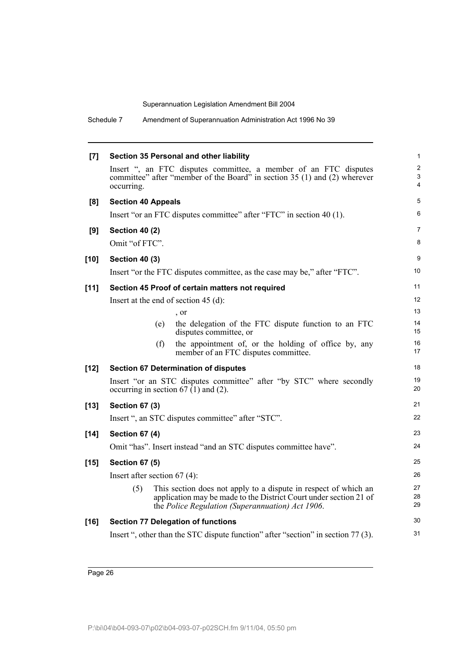| $[7]$  | Section 35 Personal and other liability                                                                                                                                                         | $\mathbf{1}$             |
|--------|-------------------------------------------------------------------------------------------------------------------------------------------------------------------------------------------------|--------------------------|
|        | Insert ", an FTC disputes committee, a member of an FTC disputes<br>committee" after "member of the Board" in section 35 (1) and (2) wherever<br>occurring.                                     | $\overline{2}$<br>3<br>4 |
| [8]    | <b>Section 40 Appeals</b>                                                                                                                                                                       | 5                        |
|        | Insert "or an FTC disputes committee" after "FTC" in section 40 (1).                                                                                                                            | 6                        |
| [9]    | <b>Section 40 (2)</b>                                                                                                                                                                           | $\overline{7}$           |
|        | Omit "of FTC".                                                                                                                                                                                  | 8                        |
| $[10]$ | <b>Section 40 (3)</b>                                                                                                                                                                           | 9                        |
|        | Insert "or the FTC disputes committee, as the case may be," after "FTC".                                                                                                                        | 10                       |
| $[11]$ | Section 45 Proof of certain matters not required                                                                                                                                                | 11                       |
|        | Insert at the end of section 45 (d):                                                                                                                                                            | 12                       |
|        | $\cdot$ or                                                                                                                                                                                      | 13                       |
|        | the delegation of the FTC dispute function to an FTC<br>(e)<br>disputes committee, or                                                                                                           | 14<br>15                 |
|        | the appointment of, or the holding of office by, any<br>(f)<br>member of an FTC disputes committee.                                                                                             | 16<br>17                 |
| $[12]$ | <b>Section 67 Determination of disputes</b>                                                                                                                                                     | 18                       |
|        | Insert "or an STC disputes committee" after "by STC" where secondly<br>occurring in section 67 $(1)$ and (2).                                                                                   | 19<br>20                 |
| $[13]$ | <b>Section 67 (3)</b>                                                                                                                                                                           | 21                       |
|        | Insert ", an STC disputes committee" after "STC".                                                                                                                                               | 22                       |
| $[14]$ | <b>Section 67 (4)</b>                                                                                                                                                                           | 23                       |
|        | Omit "has". Insert instead "and an STC disputes committee have".                                                                                                                                | 24                       |
| $[15]$ | <b>Section 67 (5)</b>                                                                                                                                                                           | 25                       |
|        | Insert after section $67(4)$ :                                                                                                                                                                  | 26                       |
|        | This section does not apply to a dispute in respect of which an<br>(5)<br>application may be made to the District Court under section 21 of<br>the Police Regulation (Superannuation) Act 1906. | 27<br>28<br>29           |
| $[16]$ | <b>Section 77 Delegation of functions</b>                                                                                                                                                       | 30                       |
|        | Insert ", other than the STC dispute function" after "section" in section 77 (3).                                                                                                               | 31                       |
|        |                                                                                                                                                                                                 |                          |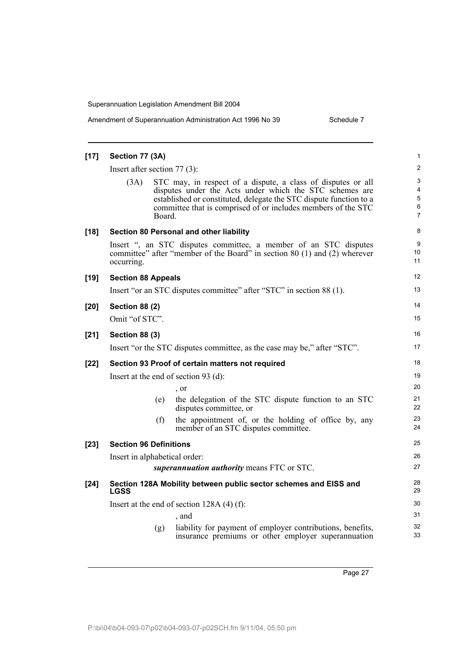| $[17]$ | Section 77 (3A)                             |                                                                                                                                                                                                                                                                          | 1                                               |  |  |  |
|--------|---------------------------------------------|--------------------------------------------------------------------------------------------------------------------------------------------------------------------------------------------------------------------------------------------------------------------------|-------------------------------------------------|--|--|--|
|        | Insert after section $77(3)$ :              |                                                                                                                                                                                                                                                                          |                                                 |  |  |  |
|        | (3A)                                        | STC may, in respect of a dispute, a class of disputes or all<br>disputes under the Acts under which the STC schemes are<br>established or constituted, delegate the STC dispute function to a<br>committee that is comprised of or includes members of the STC<br>Board. | 3<br>$\overline{4}$<br>5<br>6<br>$\overline{7}$ |  |  |  |
| $[18]$ |                                             | Section 80 Personal and other liability                                                                                                                                                                                                                                  | 8                                               |  |  |  |
|        | occurring.                                  | Insert ", an STC disputes committee, a member of an STC disputes<br>committee" after "member of the Board" in section 80 (1) and (2) wherever                                                                                                                            | 9<br>10<br>11                                   |  |  |  |
| $[19]$ | <b>Section 88 Appeals</b>                   |                                                                                                                                                                                                                                                                          | 12                                              |  |  |  |
|        |                                             | Insert "or an STC disputes committee" after "STC" in section 88 (1).                                                                                                                                                                                                     | 13                                              |  |  |  |
| [20]   | <b>Section 88 (2)</b>                       |                                                                                                                                                                                                                                                                          | 14                                              |  |  |  |
|        | Omit "of STC".                              |                                                                                                                                                                                                                                                                          | 15                                              |  |  |  |
| $[21]$ | <b>Section 88 (3)</b>                       |                                                                                                                                                                                                                                                                          | 16                                              |  |  |  |
|        |                                             | Insert "or the STC disputes committee, as the case may be," after "STC".                                                                                                                                                                                                 | 17                                              |  |  |  |
| $[22]$ |                                             | Section 93 Proof of certain matters not required                                                                                                                                                                                                                         | 18                                              |  |  |  |
|        |                                             | Insert at the end of section 93 (d):                                                                                                                                                                                                                                     | 19                                              |  |  |  |
|        |                                             | , or                                                                                                                                                                                                                                                                     | 20                                              |  |  |  |
|        | (e)                                         | the delegation of the STC dispute function to an STC<br>disputes committee, or                                                                                                                                                                                           | 21<br>22                                        |  |  |  |
|        | (f)                                         | the appointment of, or the holding of office by, any<br>member of an STC disputes committee.                                                                                                                                                                             | 23<br>24                                        |  |  |  |
| $[23]$ | <b>Section 96 Definitions</b>               |                                                                                                                                                                                                                                                                          | 25                                              |  |  |  |
|        | Insert in alphabetical order:               |                                                                                                                                                                                                                                                                          | 26                                              |  |  |  |
|        |                                             | superannuation authority means FTC or STC.                                                                                                                                                                                                                               | 27                                              |  |  |  |
| $[24]$ | <b>LGSS</b>                                 | Section 128A Mobility between public sector schemes and EISS and                                                                                                                                                                                                         | 28<br>29                                        |  |  |  |
|        | Insert at the end of section $128A(4)$ (f): |                                                                                                                                                                                                                                                                          |                                                 |  |  |  |
|        |                                             | , and                                                                                                                                                                                                                                                                    | 31                                              |  |  |  |
|        | (g)                                         | liability for payment of employer contributions, benefits,<br>insurance premiums or other employer superannuation                                                                                                                                                        | 32<br>33                                        |  |  |  |
|        |                                             |                                                                                                                                                                                                                                                                          |                                                 |  |  |  |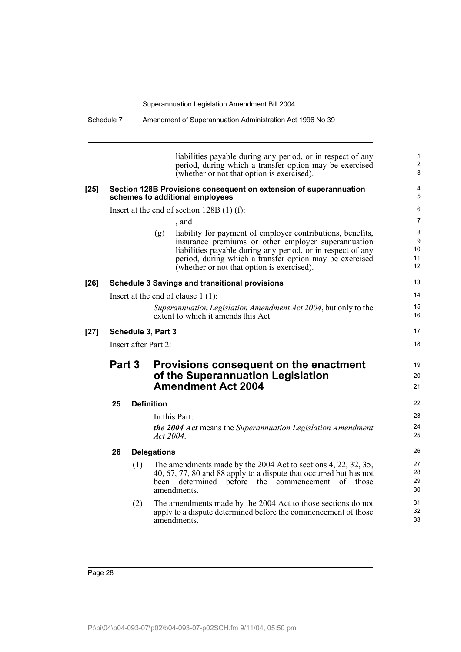|        | Schedule 7 |               | Amendment of Superannuation Administration Act 1996 No 39                                                                                                                                                                                                                                        |                                                    |
|--------|------------|---------------|--------------------------------------------------------------------------------------------------------------------------------------------------------------------------------------------------------------------------------------------------------------------------------------------------|----------------------------------------------------|
|        |            |               | liabilities payable during any period, or in respect of any<br>period, during which a transfer option may be exercised<br>(whether or not that option is exercised).                                                                                                                             | 1<br>$\overline{2}$<br>3                           |
| $[25]$ |            |               | Section 128B Provisions consequent on extension of superannuation<br>schemes to additional employees                                                                                                                                                                                             | 4<br>5                                             |
|        |            |               | Insert at the end of section $128B(1)$ (f):                                                                                                                                                                                                                                                      | 6                                                  |
|        |            |               | , and                                                                                                                                                                                                                                                                                            | $\overline{7}$                                     |
|        |            |               | (g)<br>liability for payment of employer contributions, benefits,<br>insurance premiums or other employer superannuation<br>liabilities payable during any period, or in respect of any<br>period, during which a transfer option may be exercised<br>(whether or not that option is exercised). | 8<br>9<br>10 <sup>1</sup><br>11<br>12 <sup>2</sup> |
| [26]   |            |               | <b>Schedule 3 Savings and transitional provisions</b>                                                                                                                                                                                                                                            | 13                                                 |
|        |            |               | Insert at the end of clause $1(1)$ :                                                                                                                                                                                                                                                             | 14                                                 |
|        |            |               | Superannuation Legislation Amendment Act 2004, but only to the<br>extent to which it amends this Act                                                                                                                                                                                             | 15<br>16                                           |
| [27]   |            |               | Schedule 3, Part 3                                                                                                                                                                                                                                                                               | 17                                                 |
|        |            |               | Insert after Part 2:                                                                                                                                                                                                                                                                             | 18                                                 |
|        |            | <b>Part 3</b> | Provisions consequent on the enactment<br>of the Superannuation Legislation<br><b>Amendment Act 2004</b>                                                                                                                                                                                         | 19<br>20<br>21                                     |
|        | 25         |               | <b>Definition</b>                                                                                                                                                                                                                                                                                | 22                                                 |
|        |            |               | In this Part:                                                                                                                                                                                                                                                                                    | 23                                                 |
|        |            |               | <b>the 2004 Act</b> means the Superannuation Legislation Amendment<br>Act 2004.                                                                                                                                                                                                                  | 24<br>25                                           |
|        | 26         |               | <b>Delegations</b>                                                                                                                                                                                                                                                                               | 26                                                 |
|        |            |               | (1) The amendments made by the 2004 Act to sections 4, 22, 32, 35,<br>40, 67, 77, 80 and 88 apply to a dispute that occurred but has not<br>been determined before the commencement<br>of those<br>amendments.                                                                                   | 27<br>28<br>29<br>30                               |
|        |            | (2)           | The amendments made by the 2004 Act to those sections do not<br>apply to a dispute determined before the commencement of those<br>amendments.                                                                                                                                                    | 31<br>32<br>33                                     |